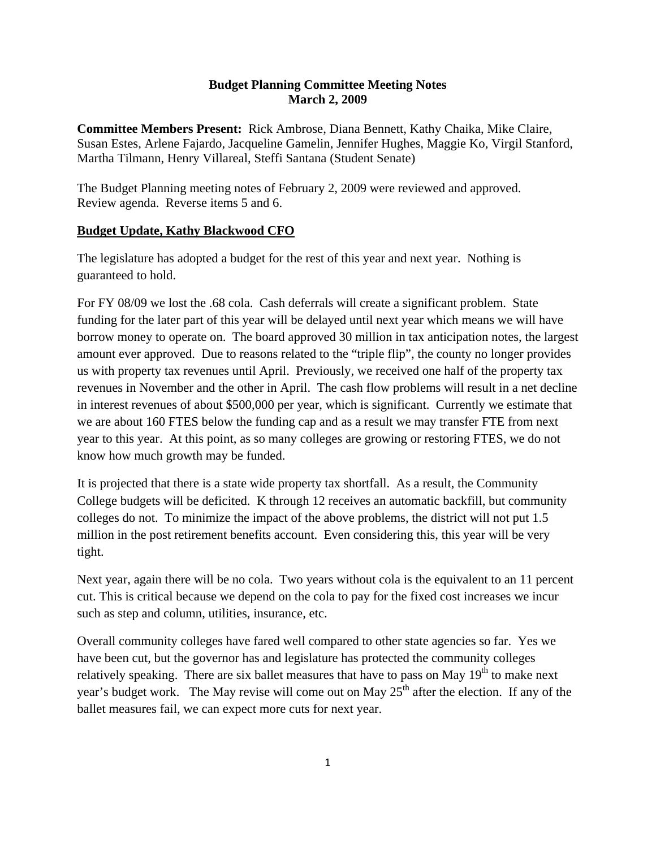#### **Budget Planning Committee Meeting Notes March 2, 2009**

**Committee Members Present:** Rick Ambrose, Diana Bennett, Kathy Chaika, Mike Claire, Susan Estes, Arlene Fajardo, Jacqueline Gamelin, Jennifer Hughes, Maggie Ko, Virgil Stanford, Martha Tilmann, Henry Villareal, Steffi Santana (Student Senate)

The Budget Planning meeting notes of February 2, 2009 were reviewed and approved. Review agenda. Reverse items 5 and 6.

#### **Budget Update, Kathy Blackwood CFO**

The legislature has adopted a budget for the rest of this year and next year. Nothing is guaranteed to hold.

For FY 08/09 we lost the .68 cola. Cash deferrals will create a significant problem. State funding for the later part of this year will be delayed until next year which means we will have borrow money to operate on. The board approved 30 million in tax anticipation notes, the largest amount ever approved. Due to reasons related to the "triple flip", the county no longer provides us with property tax revenues until April. Previously, we received one half of the property tax revenues in November and the other in April. The cash flow problems will result in a net decline in interest revenues of about \$500,000 per year, which is significant. Currently we estimate that we are about 160 FTES below the funding cap and as a result we may transfer FTE from next year to this year. At this point, as so many colleges are growing or restoring FTES, we do not know how much growth may be funded.

It is projected that there is a state wide property tax shortfall. As a result, the Community College budgets will be deficited. K through 12 receives an automatic backfill, but community colleges do not. To minimize the impact of the above problems, the district will not put 1.5 million in the post retirement benefits account. Even considering this, this year will be very tight.

Next year, again there will be no cola. Two years without cola is the equivalent to an 11 percent cut. This is critical because we depend on the cola to pay for the fixed cost increases we incur such as step and column, utilities, insurance, etc.

Overall community colleges have fared well compared to other state agencies so far. Yes we have been cut, but the governor has and legislature has protected the community colleges relatively speaking. There are six ballet measures that have to pass on May  $19<sup>th</sup>$  to make next year's budget work. The May revise will come out on May  $25<sup>th</sup>$  after the election. If any of the ballet measures fail, we can expect more cuts for next year.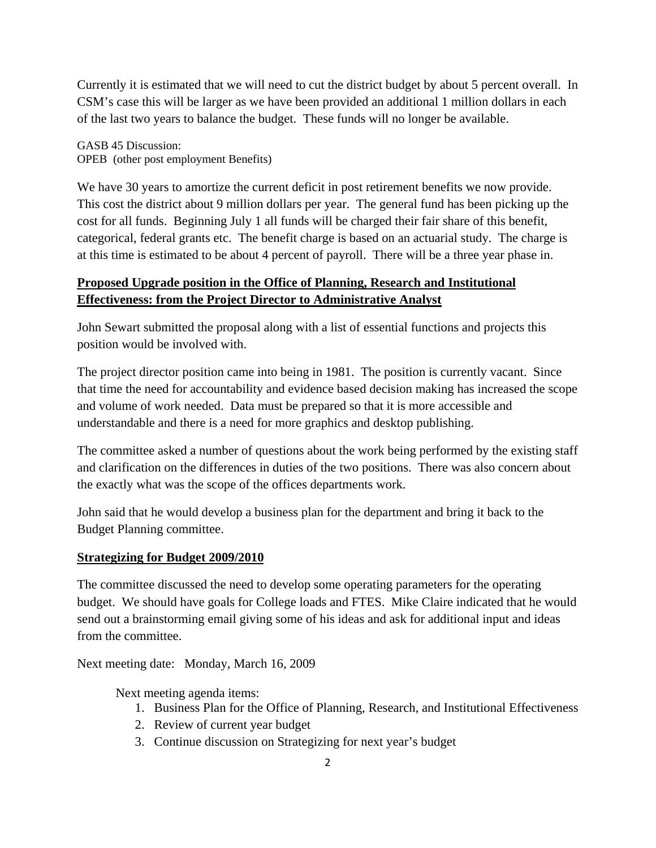Currently it is estimated that we will need to cut the district budget by about 5 percent overall. In CSM's case this will be larger as we have been provided an additional 1 million dollars in each of the last two years to balance the budget. These funds will no longer be available.

GASB 45 Discussion: OPEB (other post employment Benefits)

We have 30 years to amortize the current deficit in post retirement benefits we now provide. This cost the district about 9 million dollars per year. The general fund has been picking up the cost for all funds. Beginning July 1 all funds will be charged their fair share of this benefit, categorical, federal grants etc. The benefit charge is based on an actuarial study. The charge is at this time is estimated to be about 4 percent of payroll. There will be a three year phase in.

# **Proposed Upgrade position in the Office of Planning, Research and Institutional Effectiveness: from the Project Director to Administrative Analyst**

John Sewart submitted the proposal along with a list of essential functions and projects this position would be involved with.

The project director position came into being in 1981. The position is currently vacant. Since that time the need for accountability and evidence based decision making has increased the scope and volume of work needed. Data must be prepared so that it is more accessible and understandable and there is a need for more graphics and desktop publishing.

The committee asked a number of questions about the work being performed by the existing staff and clarification on the differences in duties of the two positions. There was also concern about the exactly what was the scope of the offices departments work.

John said that he would develop a business plan for the department and bring it back to the Budget Planning committee.

# **Strategizing for Budget 2009/2010**

The committee discussed the need to develop some operating parameters for the operating budget. We should have goals for College loads and FTES. Mike Claire indicated that he would send out a brainstorming email giving some of his ideas and ask for additional input and ideas from the committee.

Next meeting date: Monday, March 16, 2009

Next meeting agenda items:

- 1. Business Plan for the Office of Planning, Research, and Institutional Effectiveness
- 2. Review of current year budget
- 3. Continue discussion on Strategizing for next year's budget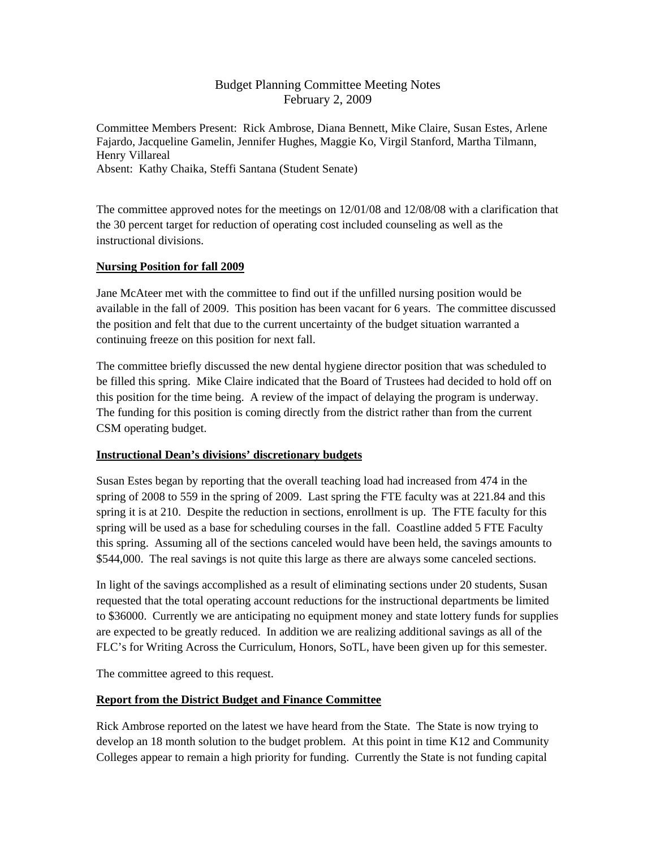## Budget Planning Committee Meeting Notes February 2, 2009

Committee Members Present: Rick Ambrose, Diana Bennett, Mike Claire, Susan Estes, Arlene Fajardo, Jacqueline Gamelin, Jennifer Hughes, Maggie Ko, Virgil Stanford, Martha Tilmann, Henry Villareal Absent: Kathy Chaika, Steffi Santana (Student Senate)

The committee approved notes for the meetings on 12/01/08 and 12/08/08 with a clarification that the 30 percent target for reduction of operating cost included counseling as well as the instructional divisions.

#### **Nursing Position for fall 2009**

Jane McAteer met with the committee to find out if the unfilled nursing position would be available in the fall of 2009. This position has been vacant for 6 years. The committee discussed the position and felt that due to the current uncertainty of the budget situation warranted a continuing freeze on this position for next fall.

The committee briefly discussed the new dental hygiene director position that was scheduled to be filled this spring. Mike Claire indicated that the Board of Trustees had decided to hold off on this position for the time being. A review of the impact of delaying the program is underway. The funding for this position is coming directly from the district rather than from the current CSM operating budget.

### **Instructional Dean's divisions' discretionary budgets**

Susan Estes began by reporting that the overall teaching load had increased from 474 in the spring of 2008 to 559 in the spring of 2009. Last spring the FTE faculty was at 221.84 and this spring it is at 210. Despite the reduction in sections, enrollment is up. The FTE faculty for this spring will be used as a base for scheduling courses in the fall. Coastline added 5 FTE Faculty this spring. Assuming all of the sections canceled would have been held, the savings amounts to \$544,000. The real savings is not quite this large as there are always some canceled sections.

In light of the savings accomplished as a result of eliminating sections under 20 students, Susan requested that the total operating account reductions for the instructional departments be limited to \$36000. Currently we are anticipating no equipment money and state lottery funds for supplies are expected to be greatly reduced. In addition we are realizing additional savings as all of the FLC's for Writing Across the Curriculum, Honors, SoTL, have been given up for this semester.

The committee agreed to this request.

### **Report from the District Budget and Finance Committee**

Rick Ambrose reported on the latest we have heard from the State. The State is now trying to develop an 18 month solution to the budget problem. At this point in time K12 and Community Colleges appear to remain a high priority for funding. Currently the State is not funding capital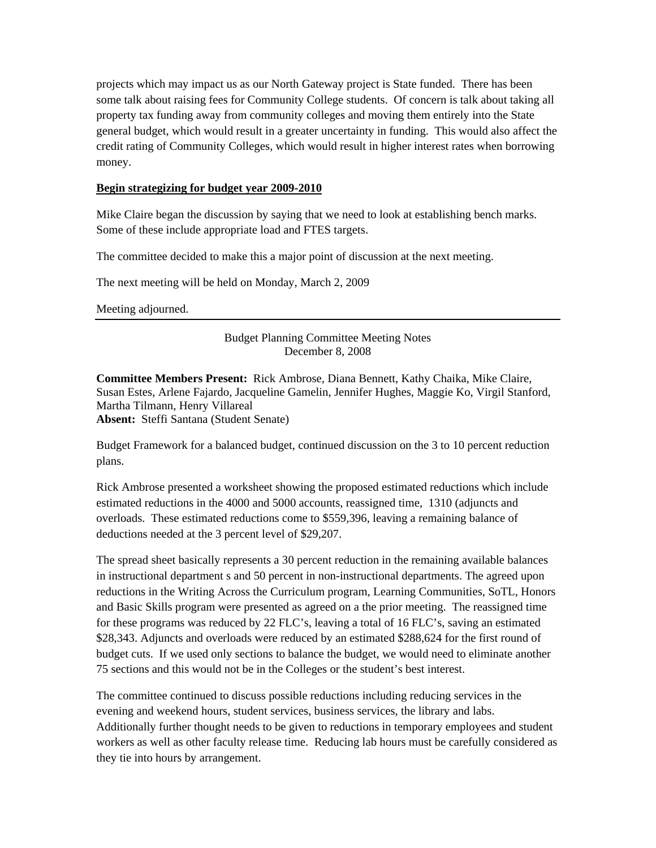projects which may impact us as our North Gateway project is State funded. There has been some talk about raising fees for Community College students. Of concern is talk about taking all property tax funding away from community colleges and moving them entirely into the State general budget, which would result in a greater uncertainty in funding. This would also affect the credit rating of Community Colleges, which would result in higher interest rates when borrowing money.

#### **Begin strategizing for budget year 2009-2010**

Mike Claire began the discussion by saying that we need to look at establishing bench marks. Some of these include appropriate load and FTES targets.

The committee decided to make this a major point of discussion at the next meeting.

The next meeting will be held on Monday, March 2, 2009

Meeting adjourned.

Budget Planning Committee Meeting Notes December 8, 2008

**Committee Members Present:** Rick Ambrose, Diana Bennett, Kathy Chaika, Mike Claire, Susan Estes, Arlene Fajardo, Jacqueline Gamelin, Jennifer Hughes, Maggie Ko, Virgil Stanford, Martha Tilmann, Henry Villareal **Absent:** Steffi Santana (Student Senate)

Budget Framework for a balanced budget, continued discussion on the 3 to 10 percent reduction plans.

Rick Ambrose presented a worksheet showing the proposed estimated reductions which include estimated reductions in the 4000 and 5000 accounts, reassigned time, 1310 (adjuncts and overloads. These estimated reductions come to \$559,396, leaving a remaining balance of deductions needed at the 3 percent level of \$29,207.

The spread sheet basically represents a 30 percent reduction in the remaining available balances in instructional department s and 50 percent in non-instructional departments. The agreed upon reductions in the Writing Across the Curriculum program, Learning Communities, SoTL, Honors and Basic Skills program were presented as agreed on a the prior meeting. The reassigned time for these programs was reduced by 22 FLC's, leaving a total of 16 FLC's, saving an estimated \$28,343. Adjuncts and overloads were reduced by an estimated \$288,624 for the first round of budget cuts. If we used only sections to balance the budget, we would need to eliminate another 75 sections and this would not be in the Colleges or the student's best interest.

The committee continued to discuss possible reductions including reducing services in the evening and weekend hours, student services, business services, the library and labs. Additionally further thought needs to be given to reductions in temporary employees and student workers as well as other faculty release time. Reducing lab hours must be carefully considered as they tie into hours by arrangement.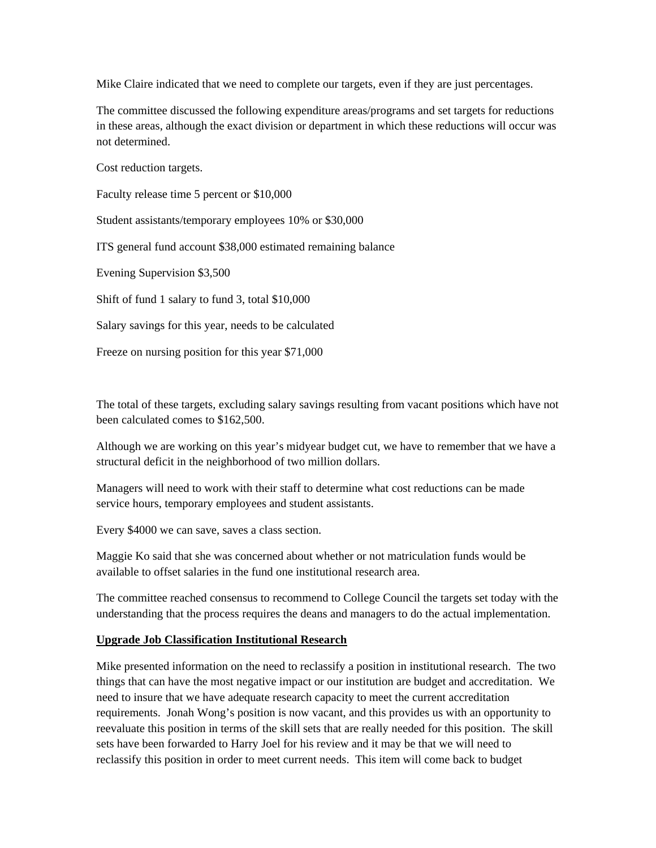Mike Claire indicated that we need to complete our targets, even if they are just percentages.

The committee discussed the following expenditure areas/programs and set targets for reductions in these areas, although the exact division or department in which these reductions will occur was not determined.

Cost reduction targets.

Faculty release time 5 percent or \$10,000

Student assistants/temporary employees 10% or \$30,000

ITS general fund account \$38,000 estimated remaining balance

Evening Supervision \$3,500

Shift of fund 1 salary to fund 3, total \$10,000

Salary savings for this year, needs to be calculated

Freeze on nursing position for this year \$71,000

The total of these targets, excluding salary savings resulting from vacant positions which have not been calculated comes to \$162,500.

Although we are working on this year's midyear budget cut, we have to remember that we have a structural deficit in the neighborhood of two million dollars.

Managers will need to work with their staff to determine what cost reductions can be made service hours, temporary employees and student assistants.

Every \$4000 we can save, saves a class section.

Maggie Ko said that she was concerned about whether or not matriculation funds would be available to offset salaries in the fund one institutional research area.

The committee reached consensus to recommend to College Council the targets set today with the understanding that the process requires the deans and managers to do the actual implementation.

#### **Upgrade Job Classification Institutional Research**

Mike presented information on the need to reclassify a position in institutional research. The two things that can have the most negative impact or our institution are budget and accreditation. We need to insure that we have adequate research capacity to meet the current accreditation requirements. Jonah Wong's position is now vacant, and this provides us with an opportunity to reevaluate this position in terms of the skill sets that are really needed for this position. The skill sets have been forwarded to Harry Joel for his review and it may be that we will need to reclassify this position in order to meet current needs. This item will come back to budget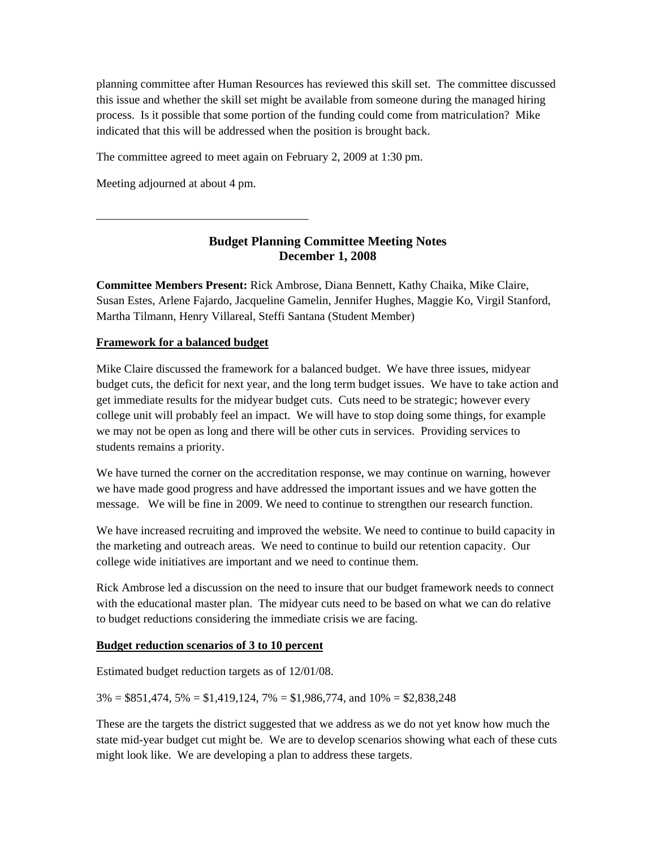planning committee after Human Resources has reviewed this skill set. The committee discussed this issue and whether the skill set might be available from someone during the managed hiring process. Is it possible that some portion of the funding could come from matriculation? Mike indicated that this will be addressed when the position is brought back.

The committee agreed to meet again on February 2, 2009 at 1:30 pm.

Meeting adjourned at about 4 pm.

\_\_\_\_\_\_\_\_\_\_\_\_\_\_\_\_\_\_\_\_\_\_\_\_\_\_\_\_\_\_\_\_\_\_\_\_

# **Budget Planning Committee Meeting Notes December 1, 2008**

**Committee Members Present:** Rick Ambrose, Diana Bennett, Kathy Chaika, Mike Claire, Susan Estes, Arlene Fajardo, Jacqueline Gamelin, Jennifer Hughes, Maggie Ko, Virgil Stanford, Martha Tilmann, Henry Villareal, Steffi Santana (Student Member)

### **Framework for a balanced budget**

Mike Claire discussed the framework for a balanced budget. We have three issues, midyear budget cuts, the deficit for next year, and the long term budget issues. We have to take action and get immediate results for the midyear budget cuts. Cuts need to be strategic; however every college unit will probably feel an impact. We will have to stop doing some things, for example we may not be open as long and there will be other cuts in services. Providing services to students remains a priority.

We have turned the corner on the accreditation response, we may continue on warning, however we have made good progress and have addressed the important issues and we have gotten the message. We will be fine in 2009. We need to continue to strengthen our research function.

We have increased recruiting and improved the website. We need to continue to build capacity in the marketing and outreach areas. We need to continue to build our retention capacity. Our college wide initiatives are important and we need to continue them.

Rick Ambrose led a discussion on the need to insure that our budget framework needs to connect with the educational master plan. The midyear cuts need to be based on what we can do relative to budget reductions considering the immediate crisis we are facing.

#### **Budget reduction scenarios of 3 to 10 percent**

Estimated budget reduction targets as of 12/01/08.

 $3\% = $851,474, 5\% = $1,419,124, 7\% = $1,986,774,$  and  $10\% = $2,838,248$ 

These are the targets the district suggested that we address as we do not yet know how much the state mid-year budget cut might be. We are to develop scenarios showing what each of these cuts might look like. We are developing a plan to address these targets.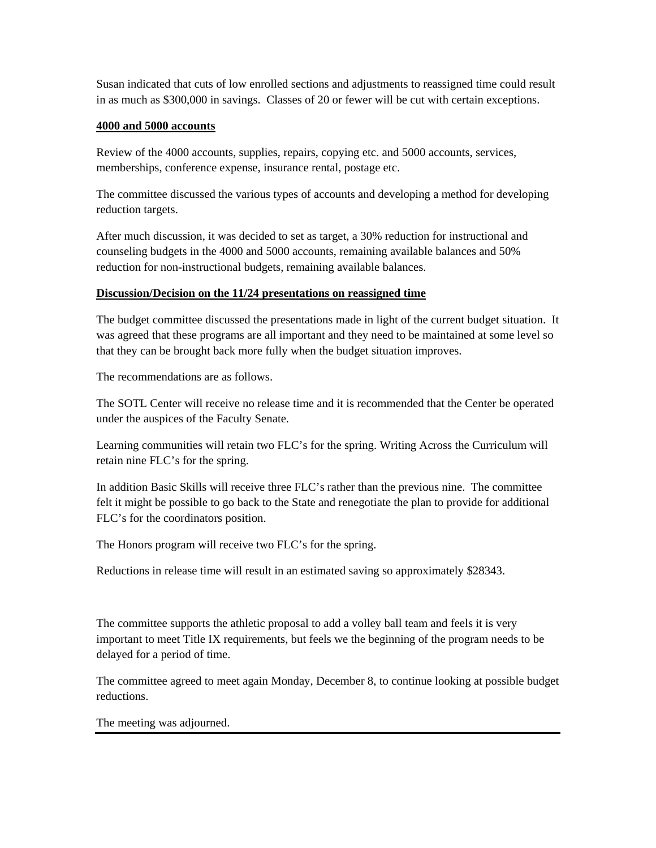Susan indicated that cuts of low enrolled sections and adjustments to reassigned time could result in as much as \$300,000 in savings. Classes of 20 or fewer will be cut with certain exceptions.

#### **4000 and 5000 accounts**

Review of the 4000 accounts, supplies, repairs, copying etc. and 5000 accounts, services, memberships, conference expense, insurance rental, postage etc.

The committee discussed the various types of accounts and developing a method for developing reduction targets.

After much discussion, it was decided to set as target, a 30% reduction for instructional and counseling budgets in the 4000 and 5000 accounts, remaining available balances and 50% reduction for non-instructional budgets, remaining available balances.

#### **Discussion/Decision on the 11/24 presentations on reassigned time**

The budget committee discussed the presentations made in light of the current budget situation. It was agreed that these programs are all important and they need to be maintained at some level so that they can be brought back more fully when the budget situation improves.

The recommendations are as follows.

The SOTL Center will receive no release time and it is recommended that the Center be operated under the auspices of the Faculty Senate.

Learning communities will retain two FLC's for the spring. Writing Across the Curriculum will retain nine FLC's for the spring.

In addition Basic Skills will receive three FLC's rather than the previous nine. The committee felt it might be possible to go back to the State and renegotiate the plan to provide for additional FLC's for the coordinators position.

The Honors program will receive two FLC's for the spring.

Reductions in release time will result in an estimated saving so approximately \$28343.

The committee supports the athletic proposal to add a volley ball team and feels it is very important to meet Title IX requirements, but feels we the beginning of the program needs to be delayed for a period of time.

The committee agreed to meet again Monday, December 8, to continue looking at possible budget reductions.

The meeting was adjourned.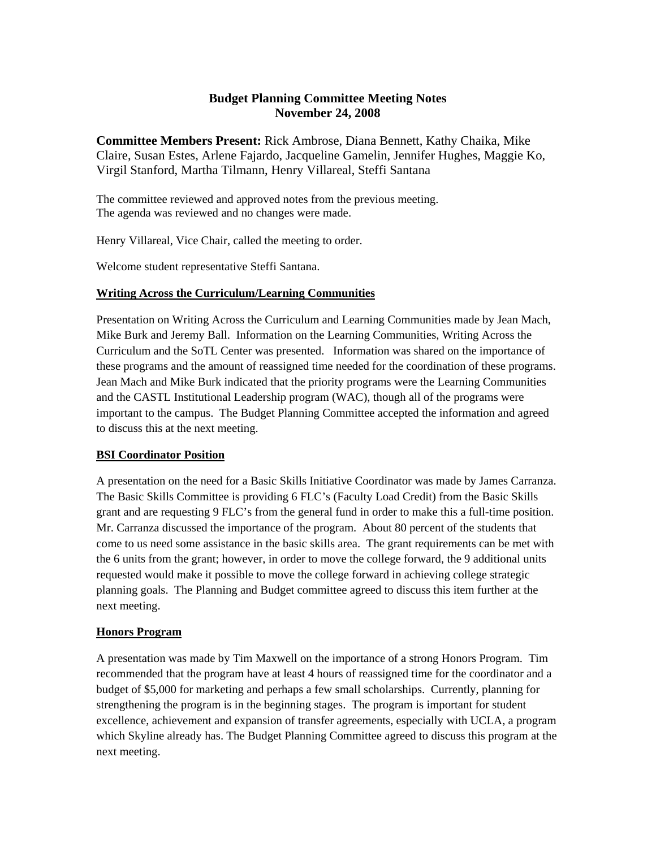### **Budget Planning Committee Meeting Notes November 24, 2008**

**Committee Members Present:** Rick Ambrose, Diana Bennett, Kathy Chaika, Mike Claire, Susan Estes, Arlene Fajardo, Jacqueline Gamelin, Jennifer Hughes, Maggie Ko, Virgil Stanford, Martha Tilmann, Henry Villareal, Steffi Santana

The committee reviewed and approved notes from the previous meeting. The agenda was reviewed and no changes were made.

Henry Villareal, Vice Chair, called the meeting to order.

Welcome student representative Steffi Santana.

#### **Writing Across the Curriculum/Learning Communities**

Presentation on Writing Across the Curriculum and Learning Communities made by Jean Mach, Mike Burk and Jeremy Ball. Information on the Learning Communities, Writing Across the Curriculum and the SoTL Center was presented. Information was shared on the importance of these programs and the amount of reassigned time needed for the coordination of these programs. Jean Mach and Mike Burk indicated that the priority programs were the Learning Communities and the CASTL Institutional Leadership program (WAC), though all of the programs were important to the campus. The Budget Planning Committee accepted the information and agreed to discuss this at the next meeting.

### **BSI Coordinator Position**

A presentation on the need for a Basic Skills Initiative Coordinator was made by James Carranza. The Basic Skills Committee is providing 6 FLC's (Faculty Load Credit) from the Basic Skills grant and are requesting 9 FLC's from the general fund in order to make this a full-time position. Mr. Carranza discussed the importance of the program. About 80 percent of the students that come to us need some assistance in the basic skills area. The grant requirements can be met with the 6 units from the grant; however, in order to move the college forward, the 9 additional units requested would make it possible to move the college forward in achieving college strategic planning goals. The Planning and Budget committee agreed to discuss this item further at the next meeting.

### **Honors Program**

A presentation was made by Tim Maxwell on the importance of a strong Honors Program. Tim recommended that the program have at least 4 hours of reassigned time for the coordinator and a budget of \$5,000 for marketing and perhaps a few small scholarships. Currently, planning for strengthening the program is in the beginning stages. The program is important for student excellence, achievement and expansion of transfer agreements, especially with UCLA, a program which Skyline already has. The Budget Planning Committee agreed to discuss this program at the next meeting.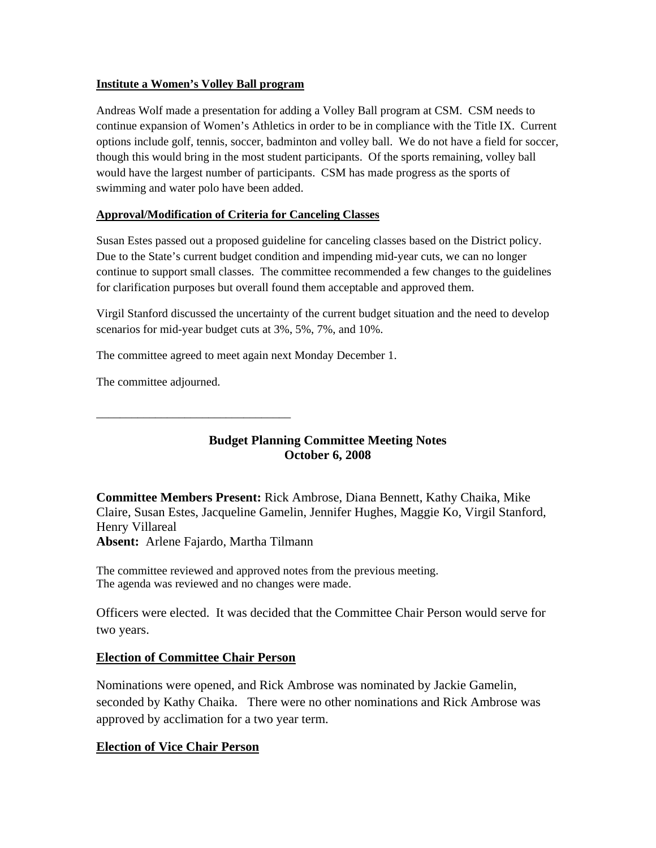#### **Institute a Women's Volley Ball program**

Andreas Wolf made a presentation for adding a Volley Ball program at CSM. CSM needs to continue expansion of Women's Athletics in order to be in compliance with the Title IX. Current options include golf, tennis, soccer, badminton and volley ball. We do not have a field for soccer, though this would bring in the most student participants. Of the sports remaining, volley ball would have the largest number of participants. CSM has made progress as the sports of swimming and water polo have been added.

### **Approval/Modification of Criteria for Canceling Classes**

Susan Estes passed out a proposed guideline for canceling classes based on the District policy. Due to the State's current budget condition and impending mid-year cuts, we can no longer continue to support small classes. The committee recommended a few changes to the guidelines for clarification purposes but overall found them acceptable and approved them.

Virgil Stanford discussed the uncertainty of the current budget situation and the need to develop scenarios for mid-year budget cuts at 3%, 5%, 7%, and 10%.

The committee agreed to meet again next Monday December 1.

The committee adjourned.

\_\_\_\_\_\_\_\_\_\_\_\_\_\_\_\_\_\_\_\_\_\_\_\_\_\_\_\_\_\_\_\_\_

# **Budget Planning Committee Meeting Notes October 6, 2008**

**Committee Members Present:** Rick Ambrose, Diana Bennett, Kathy Chaika, Mike Claire, Susan Estes, Jacqueline Gamelin, Jennifer Hughes, Maggie Ko, Virgil Stanford, Henry Villareal **Absent:** Arlene Fajardo, Martha Tilmann

The committee reviewed and approved notes from the previous meeting. The agenda was reviewed and no changes were made.

Officers were elected. It was decided that the Committee Chair Person would serve for two years.

# **Election of Committee Chair Person**

Nominations were opened, and Rick Ambrose was nominated by Jackie Gamelin, seconded by Kathy Chaika. There were no other nominations and Rick Ambrose was approved by acclimation for a two year term.

# **Election of Vice Chair Person**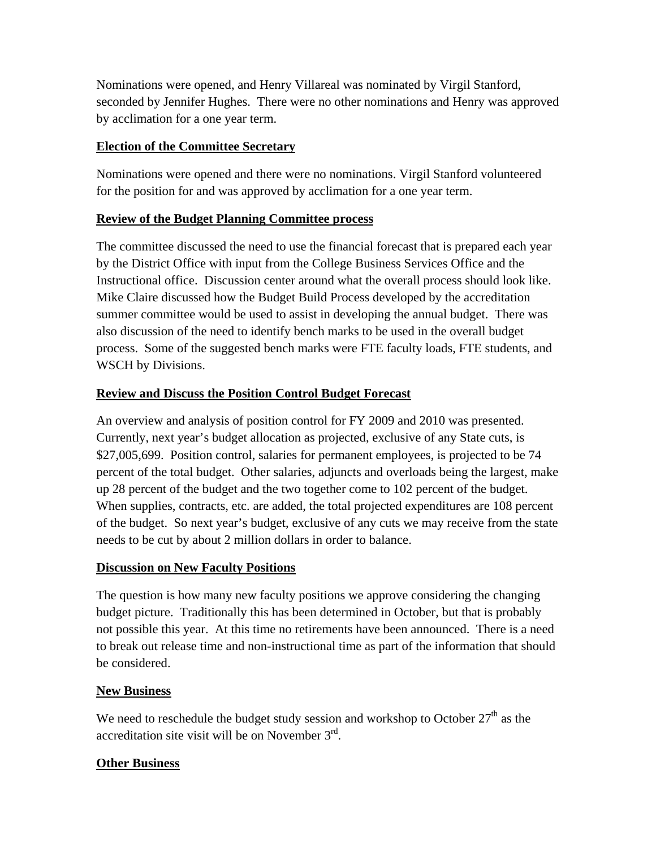Nominations were opened, and Henry Villareal was nominated by Virgil Stanford, seconded by Jennifer Hughes. There were no other nominations and Henry was approved by acclimation for a one year term.

# **Election of the Committee Secretary**

Nominations were opened and there were no nominations. Virgil Stanford volunteered for the position for and was approved by acclimation for a one year term.

# **Review of the Budget Planning Committee process**

The committee discussed the need to use the financial forecast that is prepared each year by the District Office with input from the College Business Services Office and the Instructional office. Discussion center around what the overall process should look like. Mike Claire discussed how the Budget Build Process developed by the accreditation summer committee would be used to assist in developing the annual budget. There was also discussion of the need to identify bench marks to be used in the overall budget process. Some of the suggested bench marks were FTE faculty loads, FTE students, and WSCH by Divisions.

# **Review and Discuss the Position Control Budget Forecast**

An overview and analysis of position control for FY 2009 and 2010 was presented. Currently, next year's budget allocation as projected, exclusive of any State cuts, is \$27,005,699. Position control, salaries for permanent employees, is projected to be 74 percent of the total budget. Other salaries, adjuncts and overloads being the largest, make up 28 percent of the budget and the two together come to 102 percent of the budget. When supplies, contracts, etc. are added, the total projected expenditures are 108 percent of the budget. So next year's budget, exclusive of any cuts we may receive from the state needs to be cut by about 2 million dollars in order to balance.

# **Discussion on New Faculty Positions**

The question is how many new faculty positions we approve considering the changing budget picture. Traditionally this has been determined in October, but that is probably not possible this year. At this time no retirements have been announced. There is a need to break out release time and non-instructional time as part of the information that should be considered.

# **New Business**

We need to reschedule the budget study session and workshop to October  $27<sup>th</sup>$  as the accreditation site visit will be on November  $3<sup>rd</sup>$ .

# **Other Business**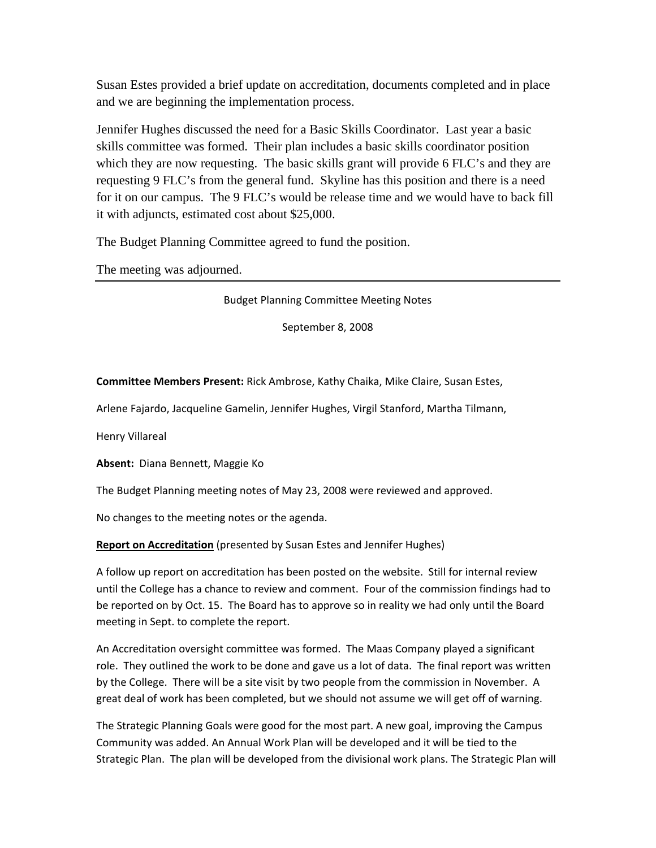Susan Estes provided a brief update on accreditation, documents completed and in place and we are beginning the implementation process.

Jennifer Hughes discussed the need for a Basic Skills Coordinator. Last year a basic skills committee was formed. Their plan includes a basic skills coordinator position which they are now requesting. The basic skills grant will provide 6 FLC's and they are requesting 9 FLC's from the general fund. Skyline has this position and there is a need for it on our campus. The 9 FLC's would be release time and we would have to back fill it with adjuncts, estimated cost about \$25,000.

The Budget Planning Committee agreed to fund the position.

The meeting was adjourned.

Budget Planning Committee Meeting Notes

September 8, 2008

**Committee Members Present:** Rick Ambrose, Kathy Chaika, Mike Claire, Susan Estes,

Arlene Fajardo, Jacqueline Gamelin, Jennifer Hughes, Virgil Stanford, Martha Tilmann,

Henry Villareal

**Absent:** Diana Bennett, Maggie Ko

The Budget Planning meeting notes of May 23, 2008 were reviewed and approved.

No changes to the meeting notes or the agenda.

**Report on Accreditation** (presented by Susan Estes and Jennifer Hughes)

A follow up report on accreditation has been posted on the website. Still for internal review until the College has a chance to review and comment. Four of the commission findings had to be reported on by Oct. 15. The Board has to approve so in reality we had only until the Board meeting in Sept. to complete the report.

An Accreditation oversight committee was formed. The Maas Company played a significant role. They outlined the work to be done and gave us a lot of data. The final report was written by the College. There will be a site visit by two people from the commission in November. A great deal of work has been completed, but we should not assume we will get off of warning.

The Strategic Planning Goals were good for the most part. A new goal, improving the Campus Community was added. An Annual Work Plan will be developed and it will be tied to the Strategic Plan. The plan will be developed from the divisional work plans. The Strategic Plan will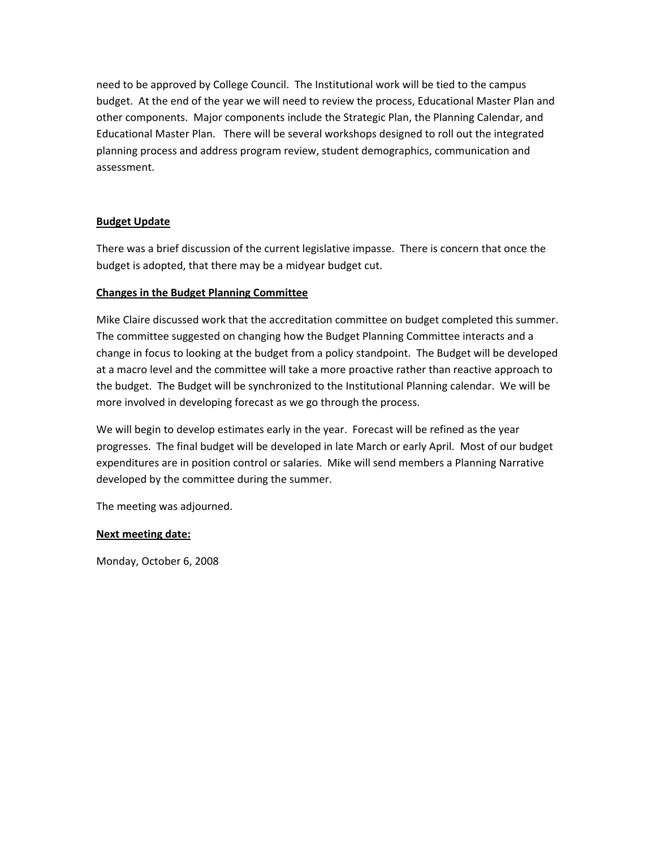need to be approved by College Council. The Institutional work will be tied to the campus budget. At the end of the year we will need to review the process, Educational Master Plan and other components. Major components include the Strategic Plan, the Planning Calendar, and Educational Master Plan. There will be several workshops designed to roll out the integrated planning process and address program review, student demographics, communication and assessment.

#### **Budget Update**

There was a brief discussion of the current legislative impasse. There is concern that once the budget is adopted, that there may be a midyear budget cut.

#### **Changes in the Budget Planning Committee**

Mike Claire discussed work that the accreditation committee on budget completed this summer. The committee suggested on changing how the Budget Planning Committee interacts and a change in focus to looking at the budget from a policy standpoint. The Budget will be developed at a macro level and the committee will take a more proactive rather than reactive approach to the budget. The Budget will be synchronized to the Institutional Planning calendar. We will be more involved in developing forecast as we go through the process.

We will begin to develop estimates early in the year. Forecast will be refined as the year progresses. The final budget will be developed in late March or early April. Most of our budget expenditures are in position control or salaries. Mike will send members a Planning Narrative developed by the committee during the summer.

The meeting was adjourned.

#### **Next meeting date:**

Monday, October 6, 2008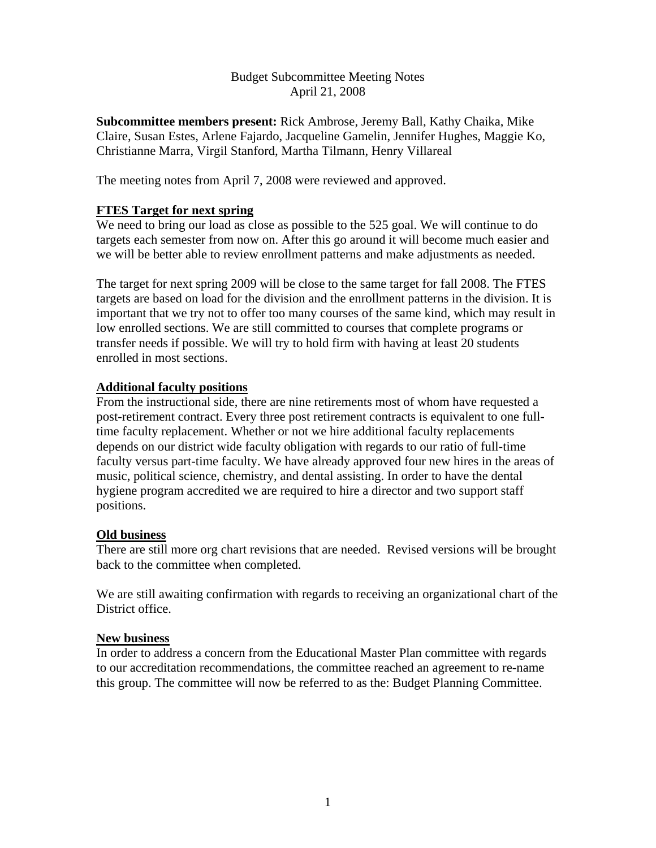# Budget Subcommittee Meeting Notes April 21, 2008

**Subcommittee members present:** Rick Ambrose, Jeremy Ball, Kathy Chaika, Mike Claire, Susan Estes, Arlene Fajardo, Jacqueline Gamelin, Jennifer Hughes, Maggie Ko, Christianne Marra, Virgil Stanford, Martha Tilmann, Henry Villareal

The meeting notes from April 7, 2008 were reviewed and approved.

# **FTES Target for next spring**

We need to bring our load as close as possible to the 525 goal. We will continue to do targets each semester from now on. After this go around it will become much easier and we will be better able to review enrollment patterns and make adjustments as needed.

The target for next spring 2009 will be close to the same target for fall 2008. The FTES targets are based on load for the division and the enrollment patterns in the division. It is important that we try not to offer too many courses of the same kind, which may result in low enrolled sections. We are still committed to courses that complete programs or transfer needs if possible. We will try to hold firm with having at least 20 students enrolled in most sections.

# **Additional faculty positions**

From the instructional side, there are nine retirements most of whom have requested a post-retirement contract. Every three post retirement contracts is equivalent to one fulltime faculty replacement. Whether or not we hire additional faculty replacements depends on our district wide faculty obligation with regards to our ratio of full-time faculty versus part-time faculty. We have already approved four new hires in the areas of music, political science, chemistry, and dental assisting. In order to have the dental hygiene program accredited we are required to hire a director and two support staff positions.

# **Old business**

There are still more org chart revisions that are needed. Revised versions will be brought back to the committee when completed.

We are still awaiting confirmation with regards to receiving an organizational chart of the District office.

### **New business**

In order to address a concern from the Educational Master Plan committee with regards to our accreditation recommendations, the committee reached an agreement to re-name this group. The committee will now be referred to as the: Budget Planning Committee.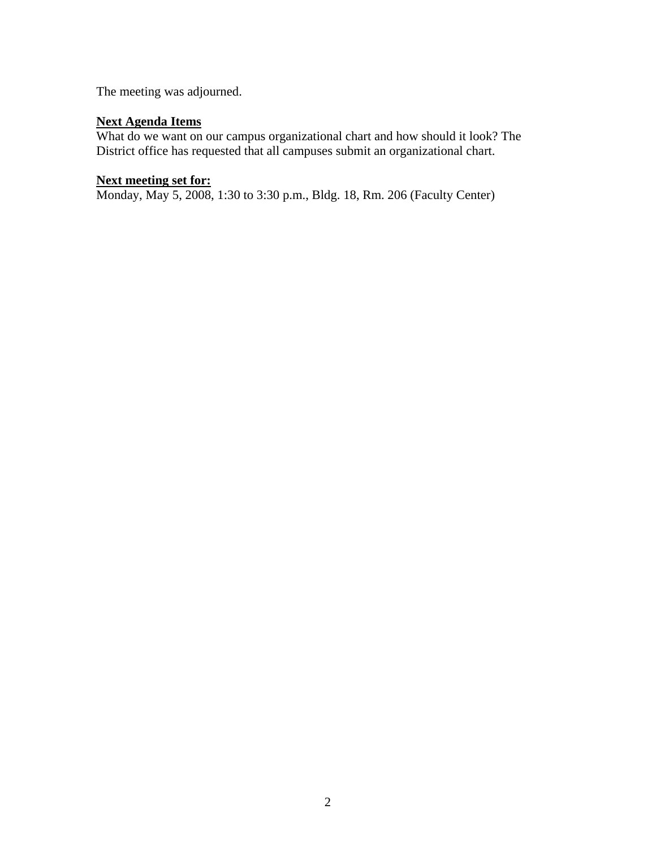The meeting was adjourned.

# **Next Agenda Items**

What do we want on our campus organizational chart and how should it look? The District office has requested that all campuses submit an organizational chart.

#### **Next meeting set for:**

Monday, May 5, 2008, 1:30 to 3:30 p.m., Bldg. 18, Rm. 206 (Faculty Center)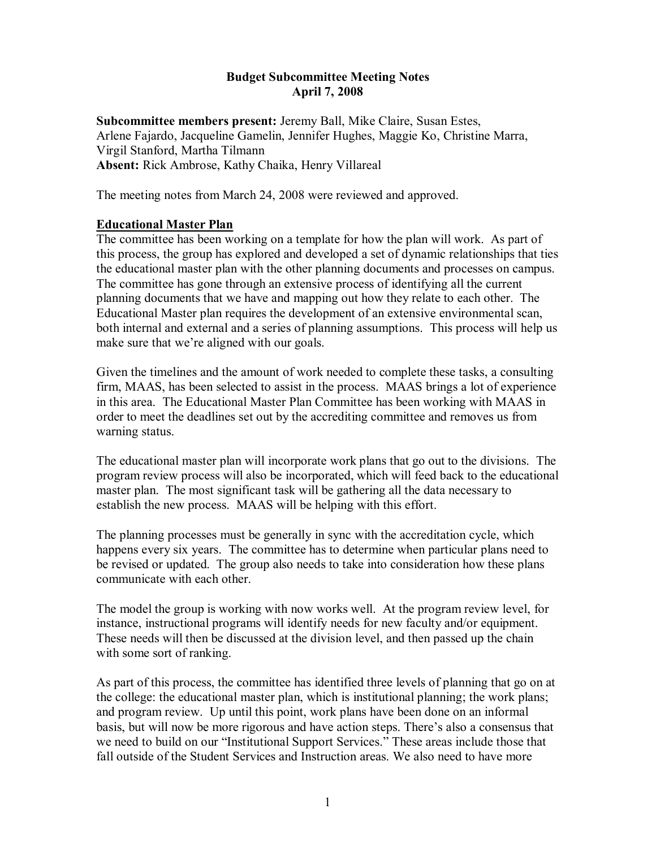### **Budget Subcommittee Meeting Notes April 7, 2008**

**Subcommittee members present:** Jeremy Ball, Mike Claire, Susan Estes, Arlene Fajardo, Jacqueline Gamelin, Jennifer Hughes, Maggie Ko, Christine Marra, Virgil Stanford, Martha Tilmann **Absent:** Rick Ambrose, Kathy Chaika, Henry Villareal

The meeting notes from March 24, 2008 were reviewed and approved.

# **Educational Master Plan**

The committee has been working on a template for how the plan will work. As part of this process, the group has explored and developed a set of dynamic relationships that ties the educational master plan with the other planning documents and processes on campus. The committee has gone through an extensive process of identifying all the current planning documents that we have and mapping out how they relate to each other. The Educational Master plan requires the development of an extensive environmental scan, both internal and external and a series of planning assumptions. This process will help us make sure that we're aligned with our goals.

Given the timelines and the amount of work needed to complete these tasks, a consulting firm, MAAS, has been selected to assist in the process. MAAS brings a lot of experience in this area. The Educational Master Plan Committee has been working with MAAS in order to meet the deadlines set out by the accrediting committee and removes us from warning status.

The educational master plan will incorporate work plans that go out to the divisions. The program review process will also be incorporated, which will feed back to the educational master plan. The most significant task will be gathering all the data necessary to establish the new process. MAAS will be helping with this effort.

The planning processes must be generally in sync with the accreditation cycle, which happens every six years. The committee has to determine when particular plans need to be revised or updated. The group also needs to take into consideration how these plans communicate with each other.

The model the group is working with now works well. At the program review level, for instance, instructional programs will identify needs for new faculty and/or equipment. These needs will then be discussed at the division level, and then passed up the chain with some sort of ranking.

As part of this process, the committee has identified three levels of planning that go on at the college: the educational master plan, which is institutional planning; the work plans; and program review. Up until this point, work plans have been done on an informal basis, but will now be more rigorous and have action steps. There's also a consensus that we need to build on our "Institutional Support Services." These areas include those that fall outside of the Student Services and Instruction areas. We also need to have more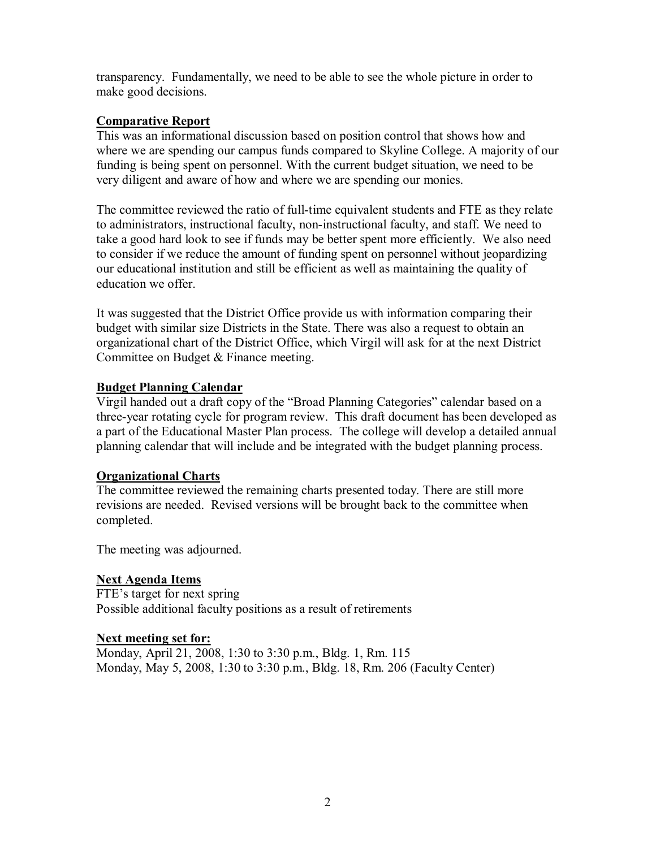transparency. Fundamentally, we need to be able to see the whole picture in order to make good decisions.

# **Comparative Report**

This was an informational discussion based on position control that shows how and where we are spending our campus funds compared to Skyline College. A majority of our funding is being spent on personnel. With the current budget situation, we need to be very diligent and aware of how and where we are spending our monies.

The committee reviewed the ratio of full-time equivalent students and FTE as they relate to administrators, instructional faculty, non-instructional faculty, and staff. We need to take a good hard look to see if funds may be better spent more efficiently. We also need to consider if we reduce the amount of funding spent on personnel without jeopardizing our educational institution and still be efficient as well as maintaining the quality of education we offer.

It was suggested that the District Office provide us with information comparing their budget with similar size Districts in the State. There was also a request to obtain an organizational chart of the District Office, which Virgil will ask for at the next District Committee on Budget & Finance meeting.

# **Budget Planning Calendar**

Virgil handed out a draft copy of the "Broad Planning Categories" calendar based on a three-year rotating cycle for program review. This draft document has been developed as a part of the Educational Master Plan process. The college will develop a detailed annual planning calendar that will include and be integrated with the budget planning process.

# **Organizational Charts**

The committee reviewed the remaining charts presented today. There are still more revisions are needed. Revised versions will be brought back to the committee when completed.

The meeting was adjourned.

# **Next Agenda Items**

FTE's target for next spring Possible additional faculty positions as a result of retirements

# **Next meeting set for:**

Monday, April 21, 2008, 1:30 to 3:30 p.m., Bldg. 1, Rm. 115 Monday, May 5, 2008, 1:30 to 3:30 p.m., Bldg. 18, Rm. 206 (Faculty Center)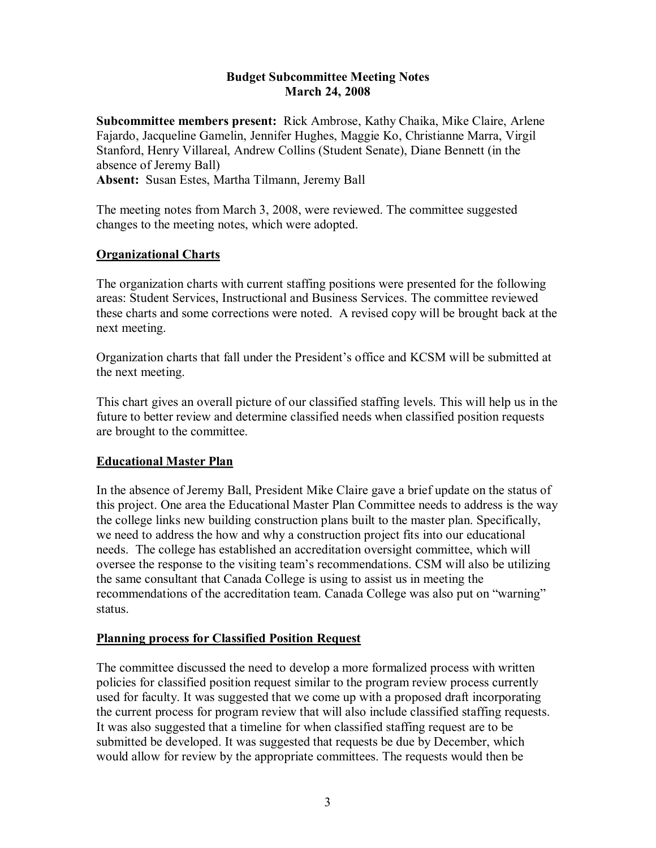### **Budget Subcommittee Meeting Notes March 24, 2008**

**Subcommittee members present:** Rick Ambrose, Kathy Chaika, Mike Claire, Arlene Fajardo, Jacqueline Gamelin, Jennifer Hughes, Maggie Ko, Christianne Marra, Virgil Stanford, Henry Villareal, Andrew Collins (Student Senate), Diane Bennett (in the absence of Jeremy Ball) **Absent:** Susan Estes, Martha Tilmann, Jeremy Ball

The meeting notes from March 3, 2008, were reviewed. The committee suggested changes to the meeting notes, which were adopted.

# **Organizational Charts**

The organization charts with current staffing positions were presented for the following areas: Student Services, Instructional and Business Services. The committee reviewed these charts and some corrections were noted. A revised copy will be brought back at the next meeting.

Organization charts that fall under the President's office and KCSM will be submitted at the next meeting.

This chart gives an overall picture of our classified staffing levels. This will help us in the future to better review and determine classified needs when classified position requests are brought to the committee.

# **Educational Master Plan**

In the absence of Jeremy Ball, President Mike Claire gave a brief update on the status of this project. One area the Educational Master Plan Committee needs to address is the way the college links new building construction plans built to the master plan. Specifically, we need to address the how and why a construction project fits into our educational needs. The college has established an accreditation oversight committee, which will oversee the response to the visiting team's recommendations. CSM will also be utilizing the same consultant that Canada College is using to assist us in meeting the recommendations of the accreditation team. Canada College was also put on "warning" status.

### **Planning process for Classified Position Request**

The committee discussed the need to develop a more formalized process with written policies for classified position request similar to the program review process currently used for faculty. It was suggested that we come up with a proposed draft incorporating the current process for program review that will also include classified staffing requests. It was also suggested that a timeline for when classified staffing request are to be submitted be developed. It was suggested that requests be due by December, which would allow for review by the appropriate committees. The requests would then be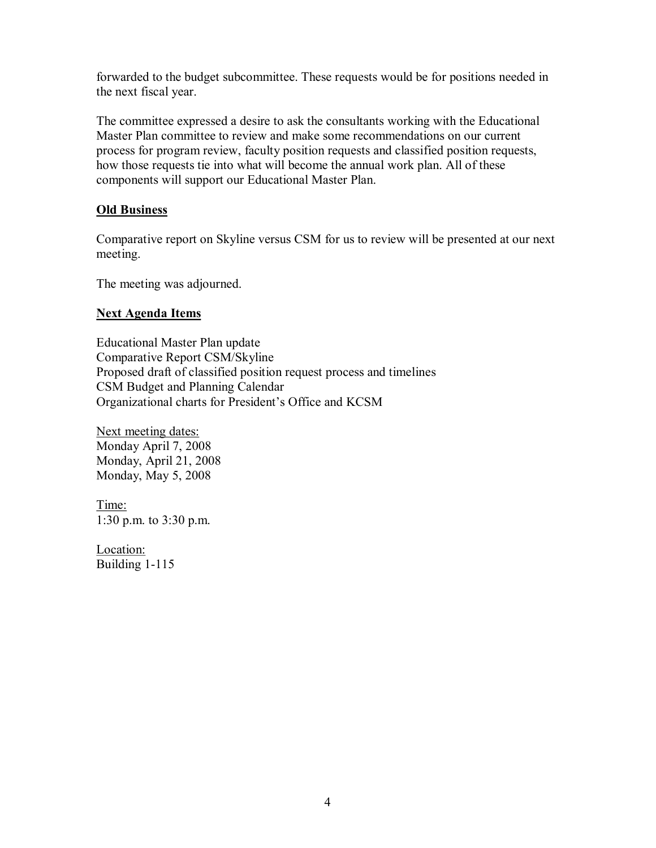forwarded to the budget subcommittee. These requests would be for positions needed in the next fiscal year.

The committee expressed a desire to ask the consultants working with the Educational Master Plan committee to review and make some recommendations on our current process for program review, faculty position requests and classified position requests, how those requests tie into what will become the annual work plan. All of these components will support our Educational Master Plan.

# **Old Business**

Comparative report on Skyline versus CSM for us to review will be presented at our next meeting.

The meeting was adjourned.

# **Next Agenda Items**

Educational Master Plan update Comparative Report CSM/Skyline Proposed draft of classified position request process and timelines CSM Budget and Planning Calendar Organizational charts for President's Office and KCSM

Next meeting dates: Monday April 7, 2008 Monday, April 21, 2008 Monday, May 5, 2008

Time: 1:30 p.m. to 3:30 p.m.

Location: Building 1-115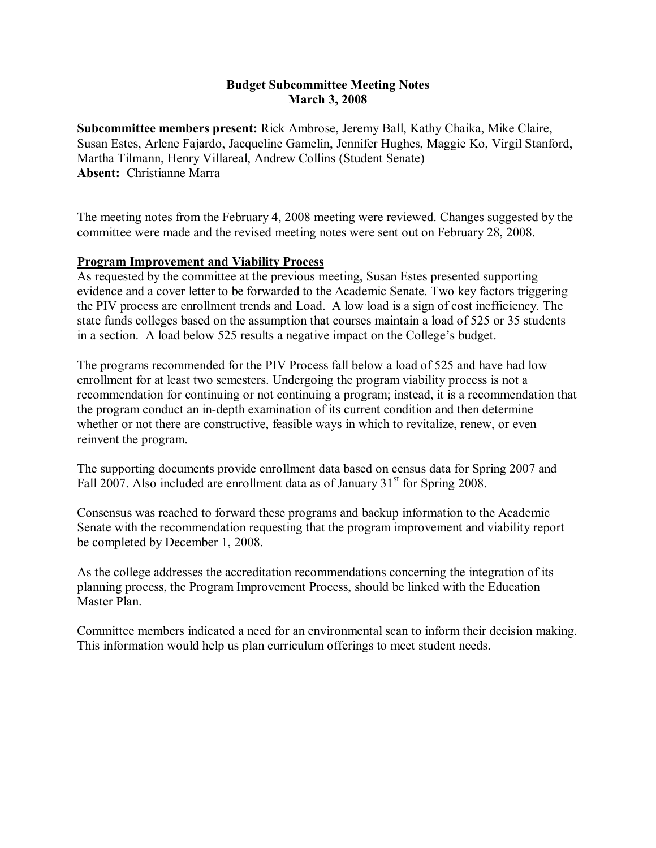# **Budget Subcommittee Meeting Notes March 3, 2008**

**Subcommittee members present:** Rick Ambrose, Jeremy Ball, Kathy Chaika, Mike Claire, Susan Estes, Arlene Fajardo, Jacqueline Gamelin, Jennifer Hughes, Maggie Ko, Virgil Stanford, Martha Tilmann, Henry Villareal, Andrew Collins (Student Senate) **Absent:** Christianne Marra

The meeting notes from the February 4, 2008 meeting were reviewed. Changes suggested by the committee were made and the revised meeting notes were sent out on February 28, 2008.

# **Program Improvement and Viability Process**

As requested by the committee at the previous meeting, Susan Estes presented supporting evidence and a cover letter to be forwarded to the Academic Senate. Two key factors triggering the PIV process are enrollment trends and Load. A low load is a sign of cost inefficiency. The state funds colleges based on the assumption that courses maintain a load of 525 or 35 students in a section. A load below 525 results a negative impact on the College's budget.

The programs recommended for the PIV Process fall below a load of 525 and have had low enrollment for at least two semesters. Undergoing the program viability process is not a recommendation for continuing or not continuing a program; instead, it is a recommendation that the program conduct an in-depth examination of its current condition and then determine whether or not there are constructive, feasible ways in which to revitalize, renew, or even reinvent the program.

The supporting documents provide enrollment data based on census data for Spring 2007 and Fall 2007. Also included are enrollment data as of January  $31<sup>st</sup>$  for Spring 2008.

Consensus was reached to forward these programs and backup information to the Academic Senate with the recommendation requesting that the program improvement and viability report be completed by December 1, 2008.

As the college addresses the accreditation recommendations concerning the integration of its planning process, the Program Improvement Process, should be linked with the Education Master Plan.

Committee members indicated a need for an environmental scan to inform their decision making. This information would help us plan curriculum offerings to meet student needs.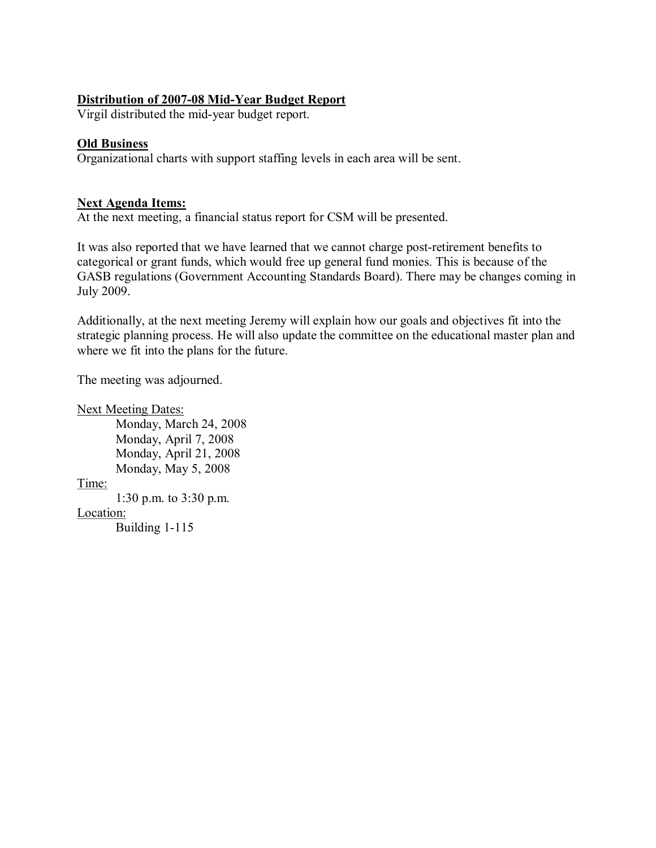# **Distribution of 2007-08 Mid-Year Budget Report**

Virgil distributed the mid-year budget report.

## **Old Business**

Organizational charts with support staffing levels in each area will be sent.

# **Next Agenda Items:**

At the next meeting, a financial status report for CSM will be presented.

It was also reported that we have learned that we cannot charge post-retirement benefits to categorical or grant funds, which would free up general fund monies. This is because of the GASB regulations (Government Accounting Standards Board). There may be changes coming in July 2009.

Additionally, at the next meeting Jeremy will explain how our goals and objectives fit into the strategic planning process. He will also update the committee on the educational master plan and where we fit into the plans for the future.

The meeting was adjourned.

Next Meeting Dates: Monday, March 24, 2008 Monday, April 7, 2008 Monday, April 21, 2008 Monday, May 5, 2008 Time: 1:30 p.m. to 3:30 p.m. Location: Building  $1-115$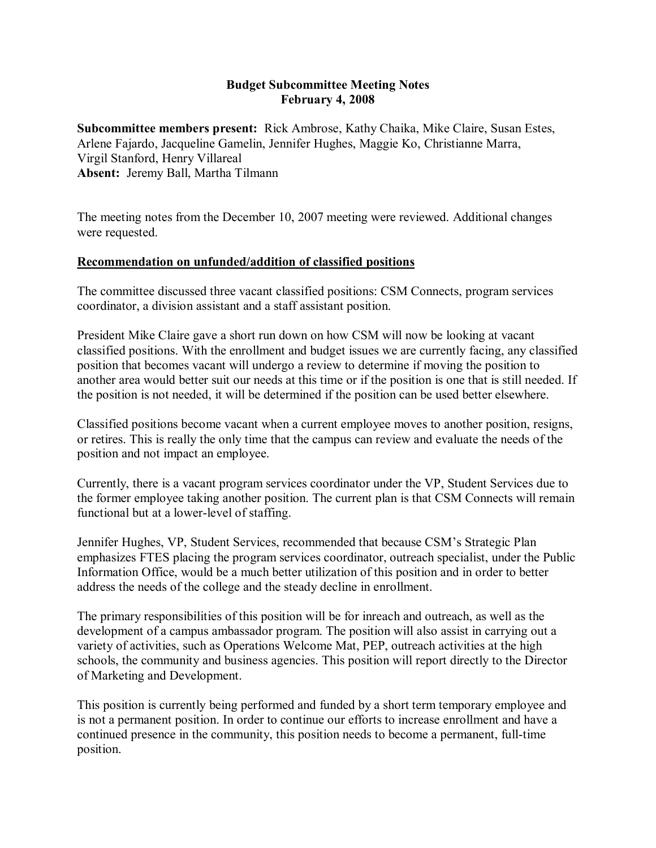## **Budget Subcommittee Meeting Notes February 4, 2008**

**Subcommittee members present:** Rick Ambrose, Kathy Chaika, Mike Claire, Susan Estes, Arlene Fajardo, Jacqueline Gamelin, Jennifer Hughes, Maggie Ko, Christianne Marra, Virgil Stanford, Henry Villareal **Absent:** Jeremy Ball, Martha Tilmann

The meeting notes from the December 10, 2007 meeting were reviewed. Additional changes were requested.

# **Recommendation on unfunded/addition of classified positions**

The committee discussed three vacant classified positions: CSM Connects, program services coordinator, a division assistant and a staff assistant position.

President Mike Claire gave a short run down on how CSM will now be looking at vacant classified positions. With the enrollment and budget issues we are currently facing, any classified position that becomes vacant will undergo a review to determine if moving the position to another area would better suit our needs at this time or if the position is one that is still needed. If the position is not needed, it will be determined if the position can be used better elsewhere.

Classified positions become vacant when a current employee moves to another position, resigns, or retires. This is really the only time that the campus can review and evaluate the needs of the position and not impact an employee.

Currently, there is a vacant program services coordinator under the VP, Student Services due to the former employee taking another position. The current plan is that CSM Connects will remain functional but at a lower-level of staffing.

Jennifer Hughes, VP, Student Services, recommended that because CSM's Strategic Plan emphasizes FTES placing the program services coordinator, outreach specialist, under the Public Information Office, would be a much better utilization of this position and in order to better address the needs of the college and the steady decline in enrollment.

The primary responsibilities of this position will be for inreach and outreach, as well as the development of a campus ambassador program. The position will also assist in carrying out a variety of activities, such as Operations Welcome Mat, PEP, outreach activities at the high schools, the community and business agencies. This position will report directly to the Director of Marketing and Development.

This position is currently being performed and funded by a short term temporary employee and is not a permanent position. In order to continue our efforts to increase enrollment and have a continued presence in the community, this position needs to become a permanent, full-time position.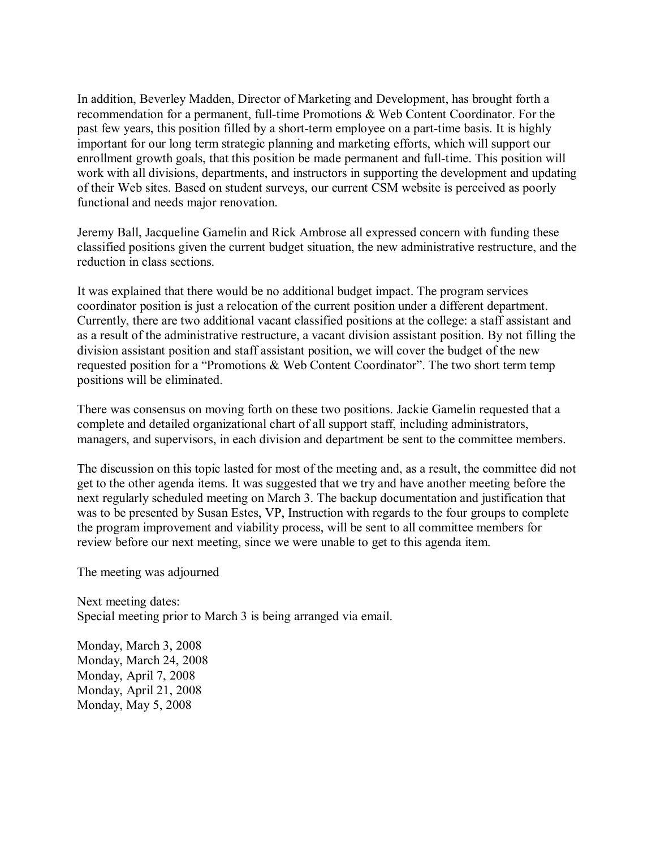In addition, Beverley Madden, Director of Marketing and Development, has brought forth a recommendation for a permanent, full-time Promotions & Web Content Coordinator. For the past few years, this position filled by a short-term employee on a part-time basis. It is highly important for our long term strategic planning and marketing efforts, which will support our enrollment growth goals, that this position be made permanent and full-time. This position will work with all divisions, departments, and instructors in supporting the development and updating of their Web sites. Based on student surveys, our current CSM website is perceived as poorly functional and needs major renovation.

Jeremy Ball, Jacqueline Gamelin and Rick Ambrose all expressed concern with funding these classified positions given the current budget situation, the new administrative restructure, and the reduction in class sections.

It was explained that there would be no additional budget impact. The program services coordinator position is just a relocation of the current position under a different department. Currently, there are two additional vacant classified positions at the college: a staff assistant and as a result of the administrative restructure, a vacant division assistant position. By not filling the division assistant position and staff assistant position, we will cover the budget of the new requested position for a "Promotions & Web Content Coordinator". The two short term temp positions will be eliminated.

There was consensus on moving forth on these two positions. Jackie Gamelin requested that a complete and detailed organizational chart of all support staff, including administrators, managers, and supervisors, in each division and department be sent to the committee members.

The discussion on this topic lasted for most of the meeting and, as a result, the committee did not get to the other agenda items. It was suggested that we try and have another meeting before the next regularly scheduled meeting on March 3. The backup documentation and justification that was to be presented by Susan Estes, VP, Instruction with regards to the four groups to complete the program improvement and viability process, will be sent to all committee members for review before our next meeting, since we were unable to get to this agenda item.

The meeting was adjourned

Next meeting dates: Special meeting prior to March 3 is being arranged via email.

Monday, March 3, 2008 Monday, March 24, 2008 Monday, April 7, 2008 Monday, April 21, 2008 Monday, May  $5, 2008$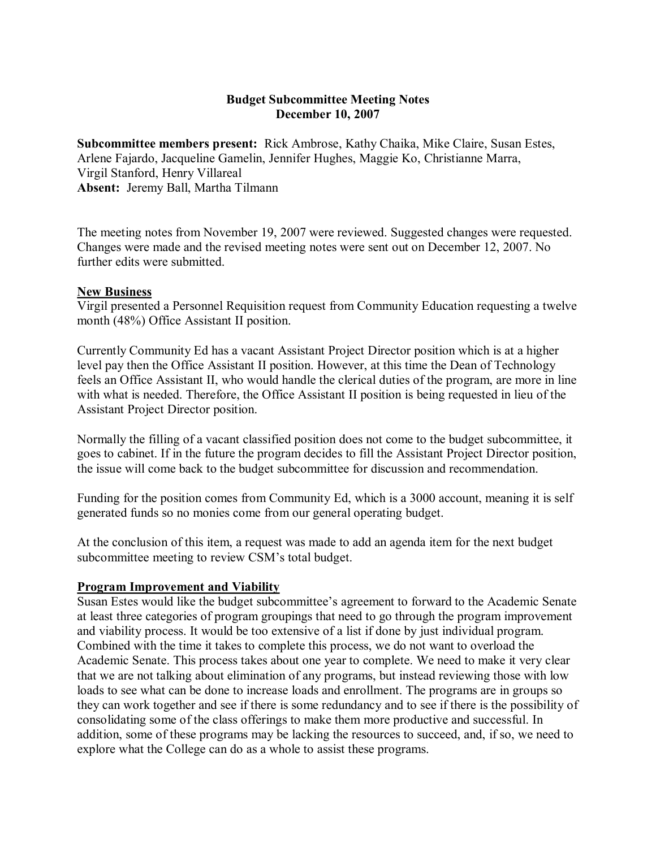# **Budget Subcommittee Meeting Notes December 10, 2007**

**Subcommittee members present:** Rick Ambrose, Kathy Chaika, Mike Claire, Susan Estes, Arlene Fajardo, Jacqueline Gamelin, Jennifer Hughes, Maggie Ko, Christianne Marra, Virgil Stanford, Henry Villareal **Absent:** Jeremy Ball, Martha Tilmann

The meeting notes from November 19, 2007 were reviewed. Suggested changes were requested. Changes were made and the revised meeting notes were sent out on December 12, 2007. No further edits were submitted.

#### **New Business**

Virgil presented a Personnel Requisition request from Community Education requesting a twelve month (48%) Office Assistant II position.

Currently Community Ed has a vacant Assistant Project Director position which is at a higher level pay then the Office Assistant II position. However, at this time the Dean of Technology feels an Office Assistant II, who would handle the clerical duties of the program, are more in line with what is needed. Therefore, the Office Assistant II position is being requested in lieu of the Assistant Project Director position.

Normally the filling of a vacant classified position does not come to the budget subcommittee, it goes to cabinet. If in the future the program decides to fill the Assistant Project Director position, the issue will come back to the budget subcommittee for discussion and recommendation.

Funding for the position comes from Community Ed, which is a 3000 account, meaning it is self generated funds so no monies come from our general operating budget.

At the conclusion of this item, a request was made to add an agenda item forthe next budget subcommittee meeting to review CSM's total budget.

### **Program Improvement and Viability**

Susan Estes would like the budget subcommittee's agreement to forward to the Academic Senate at least three categories of program groupings that need to go through the program improvement and viability process. It would be too extensive of a list if done by just individual program. Combined with the time it takes to complete this process, we do not want to overload the Academic Senate. This process takes about one year to complete. We need to make it very clear that we are not talking about elimination of any programs, but instead reviewing those with low loads to see what can be done to increase loads and enrollment. The programs are in groups so they can work together and see if there is some redundancy and to see if there is the possibility of consolidating some of the class offerings to make them more productive and successful. In addition, some of these programs may be lacking the resources to succeed, and, if so, we need to explore what the College can do as a whole to assist these programs.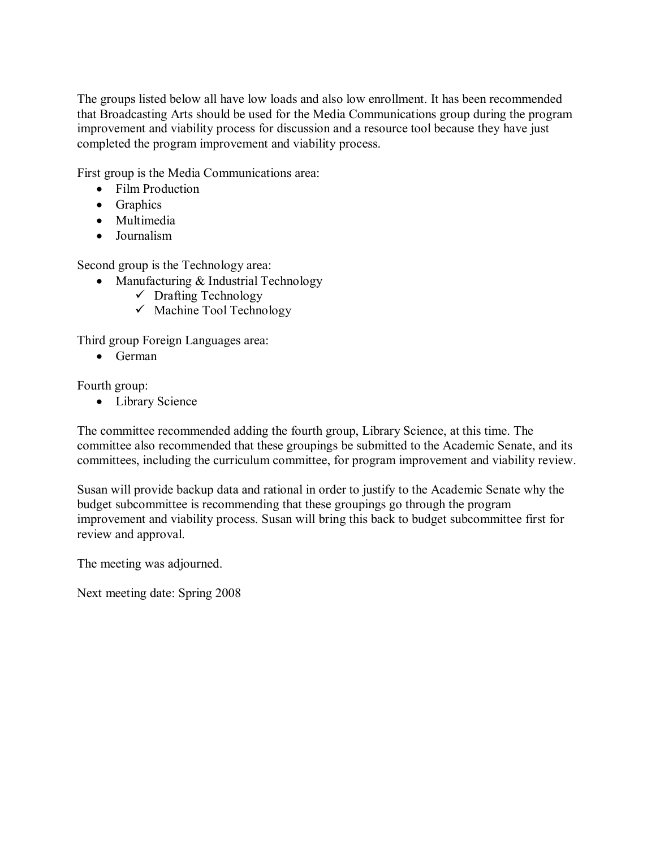The groups listed below all have low loads and also low enrollment. It has been recommended that Broadcasting Arts should be used for the Media Communications group during the program improvement and viability process for discussion and a resource tool because they have just completed the program improvement and viability process.

First group is the Media Communications area:

- Film Production
- Graphics
- Multimedia
- · Journalism

Second group is the Technology area:

- Manufacturing & Industrial Technology
	- $\checkmark$  Drafting Technology
	- $\checkmark$  Machine Tool Technology

Third group Foreign Languages area:

· German

Fourth group:

• Library Science

The committee recommended adding the fourth group, Library Science, at this time. The committee also recommended that these groupings be submitted to the Academic Senate, and its committees, including the curriculum committee, for program improvement and viability review.

Susan will provide backup data and rational in order to justify to the Academic Senate why the budget subcommittee is recommending that these groupings go through the program improvement and viability process. Susan will bring this back to budget subcommittee first for review and approval.

The meeting was adjourned.

Next meeting date: Spring 2008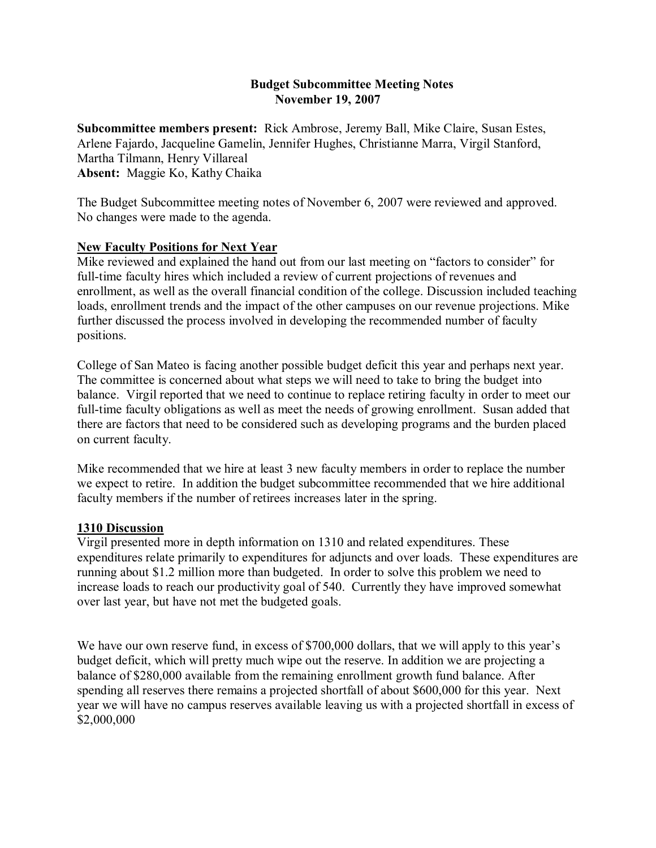# 19, 2007 **Budget Subcommittee Meeting Notes November 19, 2007**

**Subcommittee members present:** Rick Ambrose, Jeremy Ball, Mike Claire, Susan Estes, Arlene Fajardo, Jacqueline Gamelin, Jennifer Hughes, Christianne Marra, Virgil Stanford, Martha Tilmann, Henry Villareal **Absent:** Maggie Ko, Kathy Chaika

The Budget Subcommittee meeting notes of November 6, 2007 were reviewed and approved. No changes were made to the agenda.

# **New Faculty Positions for Next Year**

Mike reviewed and explained the hand out from our last meeting on "factors to consider" for full-time faculty hires which included a review of current projections of revenues and enrollment, as well as the overall financial condition of the college. Discussion included teaching loads, enrollment trends and the impact of the other campuses on our revenue projections. Mike further discussed the process involved in developing the recommended number of faculty positions.

College of San Mateo is facing another possible budget deficit this year and perhaps next year. The committee is concerned about what steps we will need to take to bring the budget into balance. Virgil reported that we need to continue to replace retiring faculty in order to meet our full-time faculty obligations as well as meet the needs of growing enrollment. Susan added that there are factors that need to be considered such as developing programs and the burden placed on current faculty.

Mike recommended that we hire at least 3 new faculty members in order to replace the number we expect to retire. In addition the budget subcommittee recommended that we hire additional faculty members if the number of retirees increases later in the spring.

### **1310 Discussion**

Virgil presented more in depth information on 1310 and related expenditures. These expenditures relate primarily to expenditures for adjuncts and over loads. These expenditures are running about \$1.2 million more than budgeted. In order to solve this problem we need to increase loads to reach our productivity goal of 540. Currently they have improved somewhat over last year, but have not met the budgeted goals.

We have our own reserve fund, in excess of \$700,000 dollars, that we will apply to this year's budget deficit, which will pretty much wipe out the reserve. In addition we are projecting a balance of \$280,000 available from the remaining enrollment growth fund balance. After spending all reserves there remains a projected shortfall of about \$600,000 for this year. Next year we will have no campus reserves available leaving us with a projected shortfall in excess of \$2,000,000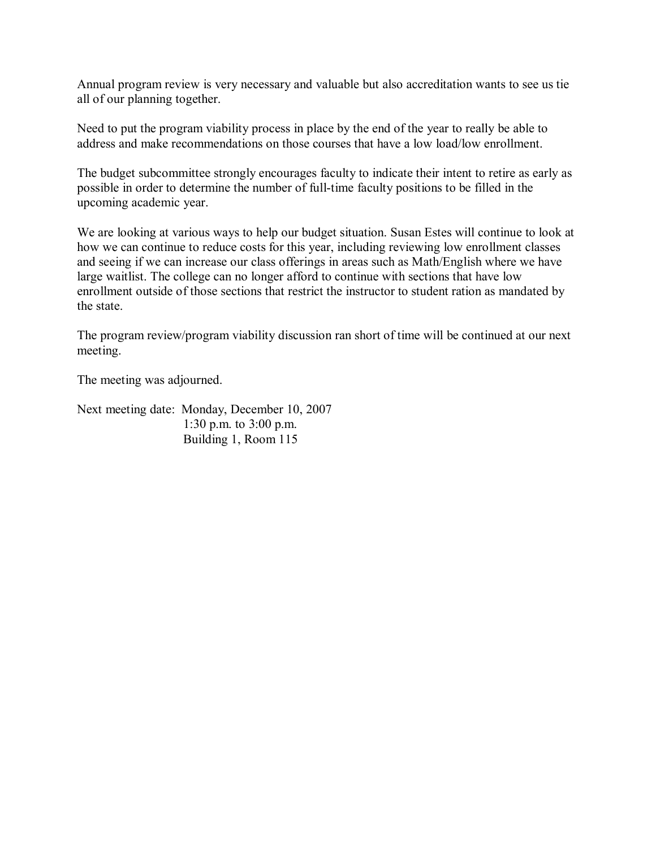Annual program review is very necessary and valuable but also accreditation wants to see us tie all of our planning together.

Need to put the program viability process in place by the end of the year to really be able to address and make recommendations on those courses that have a low load/low enrollment.

The budget subcommittee strongly encourages faculty to indicate their intent to retire as early as possible in order to determine the number of full-time faculty positions to be filled in the upcoming academic year.

We are looking at various ways to help our budget situation. Susan Estes will continue to look at how we can continue to reduce costs for this year, including reviewing low enrollment classes and seeing if we can increase our class offerings in areas such as Math/English where we have large waitlist. The college can no longer afford to continue with sections that have low enrollment outside of those sections that restrict the instructor to student ration as mandated by the state.

The program review/program viability discussion ran short of time will be continued at our next meeting.

The meeting was adjourned.

Next meeting date: Monday, December 10, 2007 1:30 p.m. to 3:00 p.m. Building 1, Room 115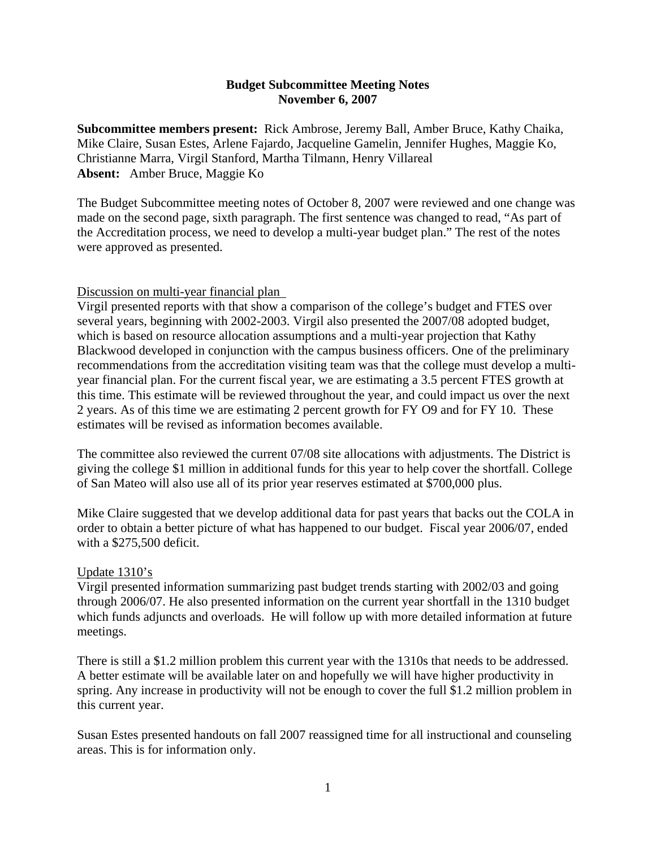### **Budget Subcommittee Meeting Notes November 6, 2007**

**Subcommittee members present:** Rick Ambrose, Jeremy Ball, Amber Bruce, Kathy Chaika, Mike Claire, Susan Estes, Arlene Fajardo, Jacqueline Gamelin, Jennifer Hughes, Maggie Ko, Christianne Marra, Virgil Stanford, Martha Tilmann, Henry Villareal **Absent:** Amber Bruce, Maggie Ko

The Budget Subcommittee meeting notes of October 8, 2007 were reviewed and one change was made on the second page, sixth paragraph. The first sentence was changed to read, "As part of the Accreditation process, we need to develop a multi-year budget plan." The rest of the notes were approved as presented.

### Discussion on multi-year financial plan

Virgil presented reports with that show a comparison of the college's budget and FTES over several years, beginning with 2002-2003. Virgil also presented the 2007/08 adopted budget, which is based on resource allocation assumptions and a multi-year projection that Kathy Blackwood developed in conjunction with the campus business officers. One of the preliminary recommendations from the accreditation visiting team was that the college must develop a multiyear financial plan. For the current fiscal year, we are estimating a 3.5 percent FTES growth at this time. This estimate will be reviewed throughout the year, and could impact us over the next 2 years. As of this time we are estimating 2 percent growth for FY O9 and for FY 10. These estimates will be revised as information becomes available.

The committee also reviewed the current 07/08 site allocations with adjustments. The District is giving the college \$1 million in additional funds for this year to help cover the shortfall. College of San Mateo will also use all of its prior year reserves estimated at \$700,000 plus.

Mike Claire suggested that we develop additional data for past years that backs out the COLA in order to obtain a better picture of what has happened to our budget. Fiscal year 2006/07, ended with a \$275,500 deficit.

### Update 1310's

Virgil presented information summarizing past budget trends starting with 2002/03 and going through 2006/07. He also presented information on the current year shortfall in the 1310 budget which funds adjuncts and overloads. He will follow up with more detailed information at future meetings.

There is still a \$1.2 million problem this current year with the 1310s that needs to be addressed. A better estimate will be available later on and hopefully we will have higher productivity in spring. Any increase in productivity will not be enough to cover the full \$1.2 million problem in this current year.

Susan Estes presented handouts on fall 2007 reassigned time for all instructional and counseling areas. This is for information only.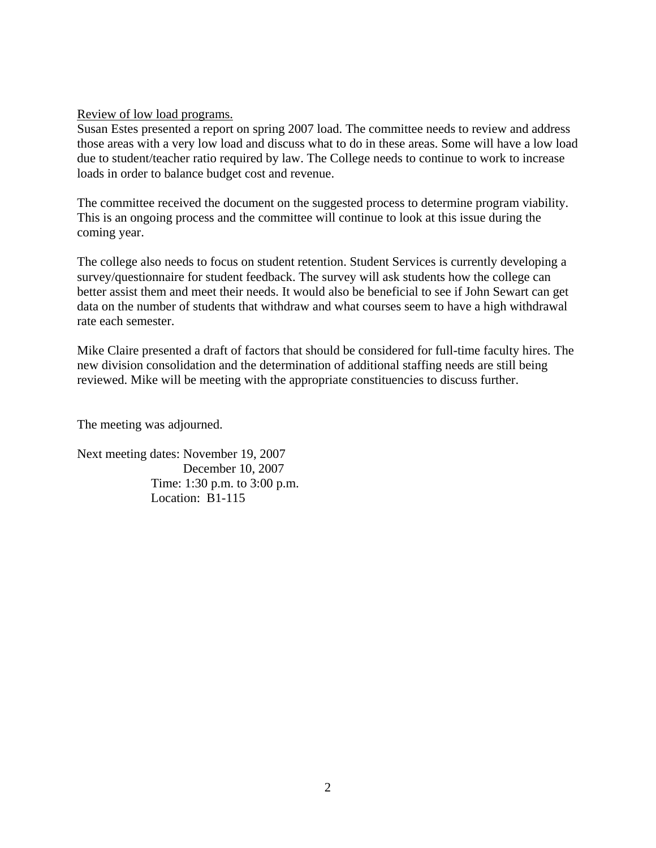Review of low load programs.

Susan Estes presented a report on spring 2007 load. The committee needs to review and address those areas with a very low load and discuss what to do in these areas. Some will have a low load due to student/teacher ratio required by law. The College needs to continue to work to increase loads in order to balance budget cost and revenue.

The committee received the document on the suggested process to determine program viability. This is an ongoing process and the committee will continue to look at this issue during the coming year.

The college also needs to focus on student retention. Student Services is currently developing a survey/questionnaire for student feedback. The survey will ask students how the college can better assist them and meet their needs. It would also be beneficial to see if John Sewart can get data on the number of students that withdraw and what courses seem to have a high withdrawal rate each semester.

Mike Claire presented a draft of factors that should be considered for full-time faculty hires. The new division consolidation and the determination of additional staffing needs are still being reviewed. Mike will be meeting with the appropriate constituencies to discuss further.

The meeting was adjourned.

Next meeting dates: November 19, 2007 December 10, 2007 Time: 1:30 p.m. to 3:00 p.m. Location: B1-115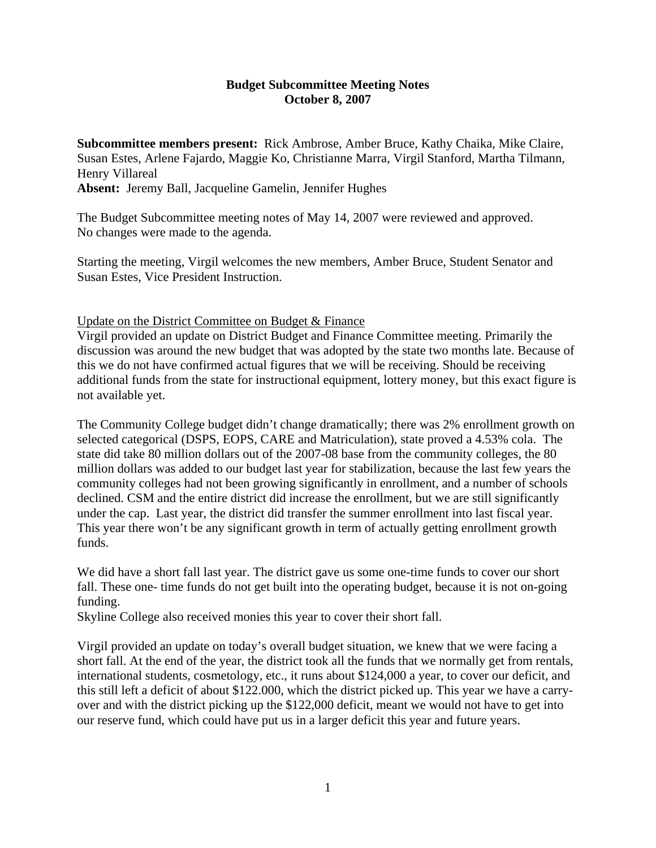## **Budget Subcommittee Meeting Notes October 8, 2007**

**Subcommittee members present:** Rick Ambrose, Amber Bruce, Kathy Chaika, Mike Claire, Susan Estes, Arlene Fajardo, Maggie Ko, Christianne Marra, Virgil Stanford, Martha Tilmann, Henry Villareal

**Absent:** Jeremy Ball, Jacqueline Gamelin, Jennifer Hughes

The Budget Subcommittee meeting notes of May 14, 2007 were reviewed and approved. No changes were made to the agenda.

Starting the meeting, Virgil welcomes the new members, Amber Bruce, Student Senator and Susan Estes, Vice President Instruction.

Update on the District Committee on Budget & Finance

Virgil provided an update on District Budget and Finance Committee meeting. Primarily the discussion was around the new budget that was adopted by the state two months late. Because of this we do not have confirmed actual figures that we will be receiving. Should be receiving additional funds from the state for instructional equipment, lottery money, but this exact figure is not available yet.

The Community College budget didn't change dramatically; there was 2% enrollment growth on selected categorical (DSPS, EOPS, CARE and Matriculation), state proved a 4.53% cola. The state did take 80 million dollars out of the 2007-08 base from the community colleges, the 80 million dollars was added to our budget last year for stabilization, because the last few years the community colleges had not been growing significantly in enrollment, and a number of schools declined. CSM and the entire district did increase the enrollment, but we are still significantly under the cap. Last year, the district did transfer the summer enrollment into last fiscal year. This year there won't be any significant growth in term of actually getting enrollment growth funds.

We did have a short fall last year. The district gave us some one-time funds to cover our short fall. These one- time funds do not get built into the operating budget, because it is not on-going funding.

Skyline College also received monies this year to cover their short fall.

Virgil provided an update on today's overall budget situation, we knew that we were facing a short fall. At the end of the year, the district took all the funds that we normally get from rentals, international students, cosmetology, etc., it runs about \$124,000 a year, to cover our deficit, and this still left a deficit of about \$122.000, which the district picked up. This year we have a carryover and with the district picking up the \$122,000 deficit, meant we would not have to get into our reserve fund, which could have put us in a larger deficit this year and future years.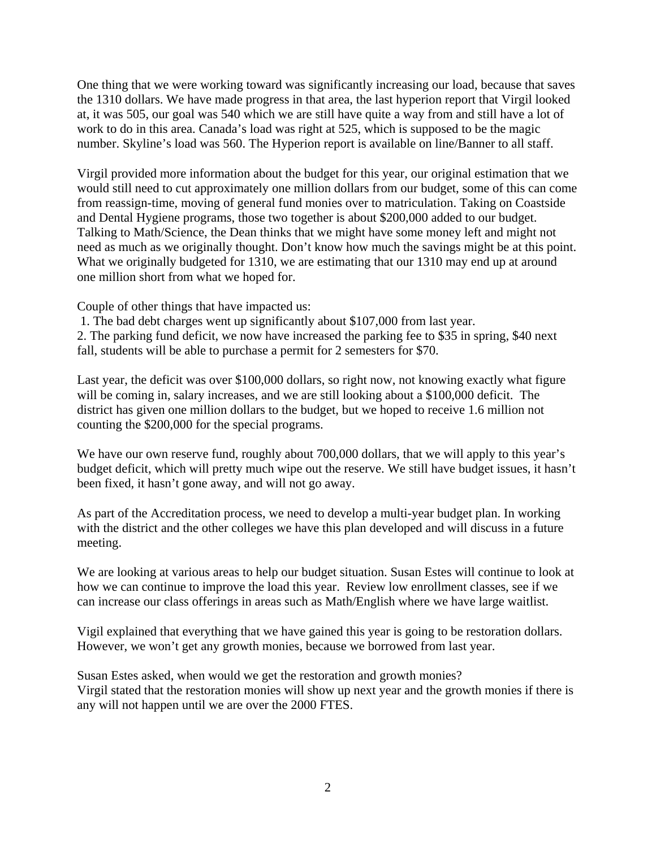One thing that we were working toward was significantly increasing our load, because that saves the 1310 dollars. We have made progress in that area, the last hyperion report that Virgil looked at, it was 505, our goal was 540 which we are still have quite a way from and still have a lot of work to do in this area. Canada's load was right at 525, which is supposed to be the magic number. Skyline's load was 560. The Hyperion report is available on line/Banner to all staff.

Virgil provided more information about the budget for this year, our original estimation that we would still need to cut approximately one million dollars from our budget, some of this can come from reassign-time, moving of general fund monies over to matriculation. Taking on Coastside and Dental Hygiene programs, those two together is about \$200,000 added to our budget. Talking to Math/Science, the Dean thinks that we might have some money left and might not need as much as we originally thought. Don't know how much the savings might be at this point. What we originally budgeted for 1310, we are estimating that our 1310 may end up at around one million short from what we hoped for.

Couple of other things that have impacted us:

 1. The bad debt charges went up significantly about \$107,000 from last year. 2. The parking fund deficit, we now have increased the parking fee to \$35 in spring, \$40 next fall, students will be able to purchase a permit for 2 semesters for \$70.

Last year, the deficit was over \$100,000 dollars, so right now, not knowing exactly what figure will be coming in, salary increases, and we are still looking about a \$100,000 deficit. The district has given one million dollars to the budget, but we hoped to receive 1.6 million not counting the \$200,000 for the special programs.

We have our own reserve fund, roughly about 700,000 dollars, that we will apply to this year's budget deficit, which will pretty much wipe out the reserve. We still have budget issues, it hasn't been fixed, it hasn't gone away, and will not go away.

As part of the Accreditation process, we need to develop a multi-year budget plan. In working with the district and the other colleges we have this plan developed and will discuss in a future meeting.

We are looking at various areas to help our budget situation. Susan Estes will continue to look at how we can continue to improve the load this year. Review low enrollment classes, see if we can increase our class offerings in areas such as Math/English where we have large waitlist.

Vigil explained that everything that we have gained this year is going to be restoration dollars. However, we won't get any growth monies, because we borrowed from last year.

Susan Estes asked, when would we get the restoration and growth monies? Virgil stated that the restoration monies will show up next year and the growth monies if there is any will not happen until we are over the 2000 FTES.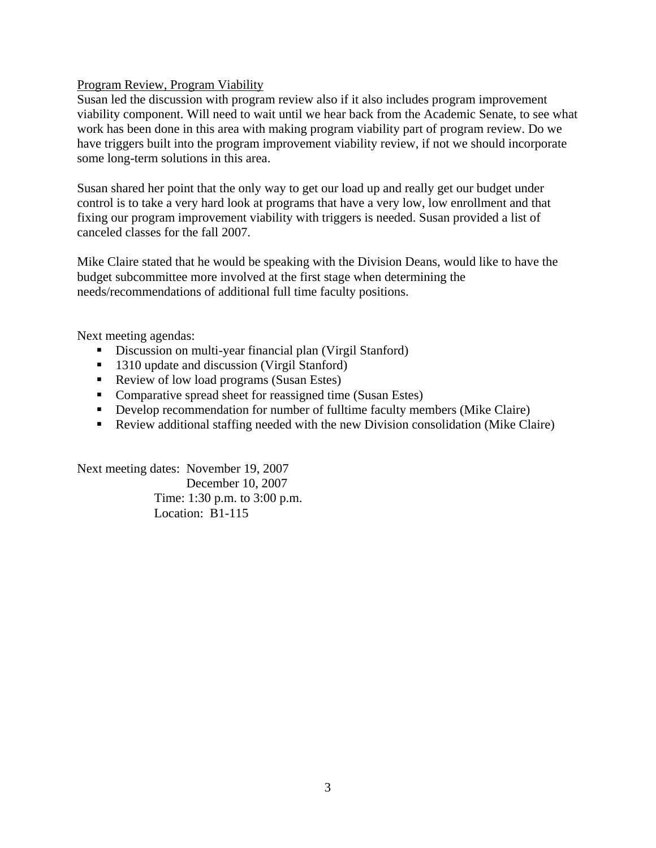# Program Review, Program Viability

Susan led the discussion with program review also if it also includes program improvement viability component. Will need to wait until we hear back from the Academic Senate, to see what work has been done in this area with making program viability part of program review. Do we have triggers built into the program improvement viability review, if not we should incorporate some long-term solutions in this area.

Susan shared her point that the only way to get our load up and really get our budget under control is to take a very hard look at programs that have a very low, low enrollment and that fixing our program improvement viability with triggers is needed. Susan provided a list of canceled classes for the fall 2007.

Mike Claire stated that he would be speaking with the Division Deans, would like to have the budget subcommittee more involved at the first stage when determining the needs/recommendations of additional full time faculty positions.

Next meeting agendas:

- Discussion on multi-year financial plan (Virgil Stanford)
- 1310 update and discussion (Virgil Stanford)
- Review of low load programs (Susan Estes)
- Comparative spread sheet for reassigned time (Susan Estes)
- Develop recommendation for number of fulltime faculty members (Mike Claire)
- Review additional staffing needed with the new Division consolidation (Mike Claire)

Next meeting dates: November 19, 2007 December 10, 2007 Time: 1:30 p.m. to 3:00 p.m. Location: B1-115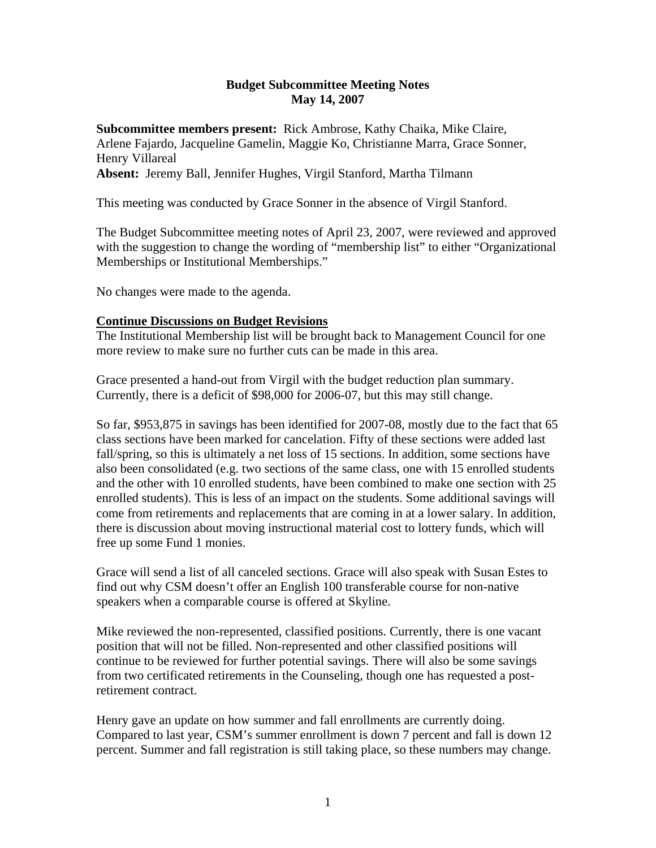## **Budget Subcommittee Meeting Notes May 14, 2007**

**Subcommittee members present:** Rick Ambrose, Kathy Chaika, Mike Claire, Arlene Fajardo, Jacqueline Gamelin, Maggie Ko, Christianne Marra, Grace Sonner, Henry Villareal

**Absent:** Jeremy Ball, Jennifer Hughes, Virgil Stanford, Martha Tilmann

This meeting was conducted by Grace Sonner in the absence of Virgil Stanford.

The Budget Subcommittee meeting notes of April 23, 2007, were reviewed and approved with the suggestion to change the wording of "membership list" to either "Organizational Memberships or Institutional Memberships."

No changes were made to the agenda.

# **Continue Discussions on Budget Revisions**

The Institutional Membership list will be brought back to Management Council for one more review to make sure no further cuts can be made in this area.

Grace presented a hand-out from Virgil with the budget reduction plan summary. Currently, there is a deficit of \$98,000 for 2006-07, but this may still change.

So far, \$953,875 in savings has been identified for 2007-08, mostly due to the fact that 65 class sections have been marked for cancelation. Fifty of these sections were added last fall/spring, so this is ultimately a net loss of 15 sections. In addition, some sections have also been consolidated (e.g. two sections of the same class, one with 15 enrolled students and the other with 10 enrolled students, have been combined to make one section with 25 enrolled students). This is less of an impact on the students. Some additional savings will come from retirements and replacements that are coming in at a lower salary. In addition, there is discussion about moving instructional material cost to lottery funds, which will free up some Fund 1 monies.

Grace will send a list of all canceled sections. Grace will also speak with Susan Estes to find out why CSM doesn't offer an English 100 transferable course for non-native speakers when a comparable course is offered at Skyline.

Mike reviewed the non-represented, classified positions. Currently, there is one vacant position that will not be filled. Non-represented and other classified positions will continue to be reviewed for further potential savings. There will also be some savings from two certificated retirements in the Counseling, though one has requested a postretirement contract.

Henry gave an update on how summer and fall enrollments are currently doing. Compared to last year, CSM's summer enrollment is down 7 percent and fall is down 12 percent. Summer and fall registration is still taking place, so these numbers may change.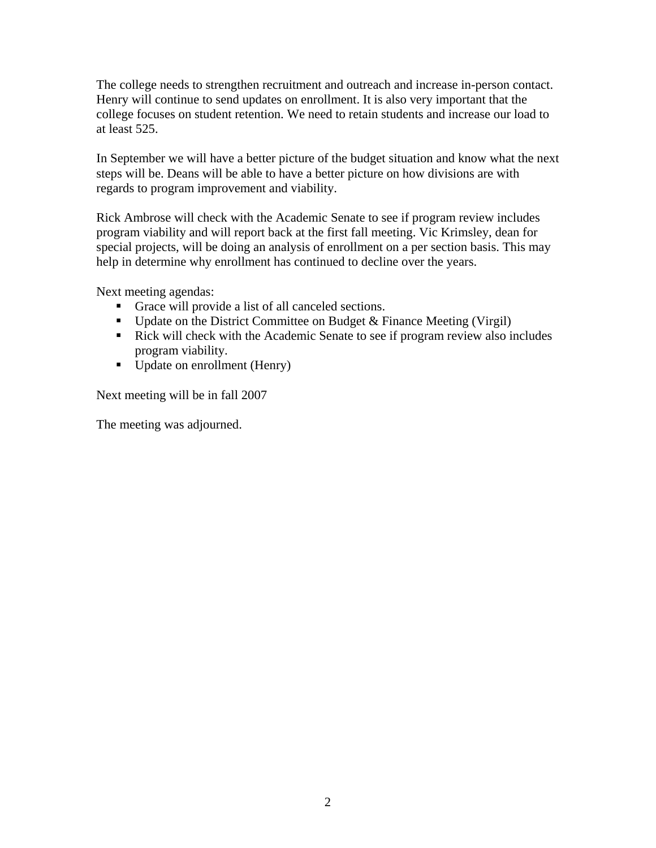The college needs to strengthen recruitment and outreach and increase in-person contact. Henry will continue to send updates on enrollment. It is also very important that the college focuses on student retention. We need to retain students and increase our load to at least 525.

In September we will have a better picture of the budget situation and know what the next steps will be. Deans will be able to have a better picture on how divisions are with regards to program improvement and viability.

Rick Ambrose will check with the Academic Senate to see if program review includes program viability and will report back at the first fall meeting. Vic Krimsley, dean for special projects, will be doing an analysis of enrollment on a per section basis. This may help in determine why enrollment has continued to decline over the years.

Next meeting agendas:

- Grace will provide a list of all canceled sections.
- Update on the District Committee on Budget  $&$  Finance Meeting (Virgil)
- Rick will check with the Academic Senate to see if program review also includes program viability.
- Update on enrollment (Henry)

Next meeting will be in fall 2007

The meeting was adjourned.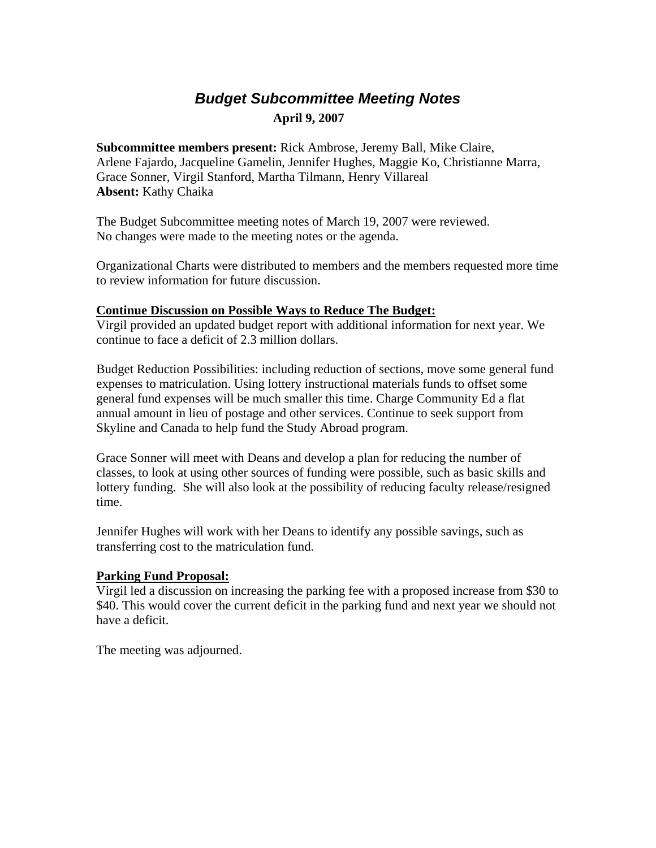# *Budget Subcommittee Meeting Notes*   **April 9, 2007**

**Subcommittee members present:** Rick Ambrose, Jeremy Ball, Mike Claire, Arlene Fajardo, Jacqueline Gamelin, Jennifer Hughes, Maggie Ko, Christianne Marra, Grace Sonner, Virgil Stanford, Martha Tilmann, Henry Villareal **Absent:** Kathy Chaika

The Budget Subcommittee meeting notes of March 19, 2007 were reviewed. No changes were made to the meeting notes or the agenda.

Organizational Charts were distributed to members and the members requested more time to review information for future discussion.

### **Continue Discussion on Possible Ways to Reduce The Budget:**

Virgil provided an updated budget report with additional information for next year. We continue to face a deficit of 2.3 million dollars.

Budget Reduction Possibilities: including reduction of sections, move some general fund expenses to matriculation. Using lottery instructional materials funds to offset some general fund expenses will be much smaller this time. Charge Community Ed a flat annual amount in lieu of postage and other services. Continue to seek support from Skyline and Canada to help fund the Study Abroad program.

Grace Sonner will meet with Deans and develop a plan for reducing the number of classes, to look at using other sources of funding were possible, such as basic skills and lottery funding. She will also look at the possibility of reducing faculty release/resigned time.

Jennifer Hughes will work with her Deans to identify any possible savings, such as transferring cost to the matriculation fund.

### **Parking Fund Proposal:**

Virgil led a discussion on increasing the parking fee with a proposed increase from \$30 to \$40. This would cover the current deficit in the parking fund and next year we should not have a deficit.

The meeting was adjourned.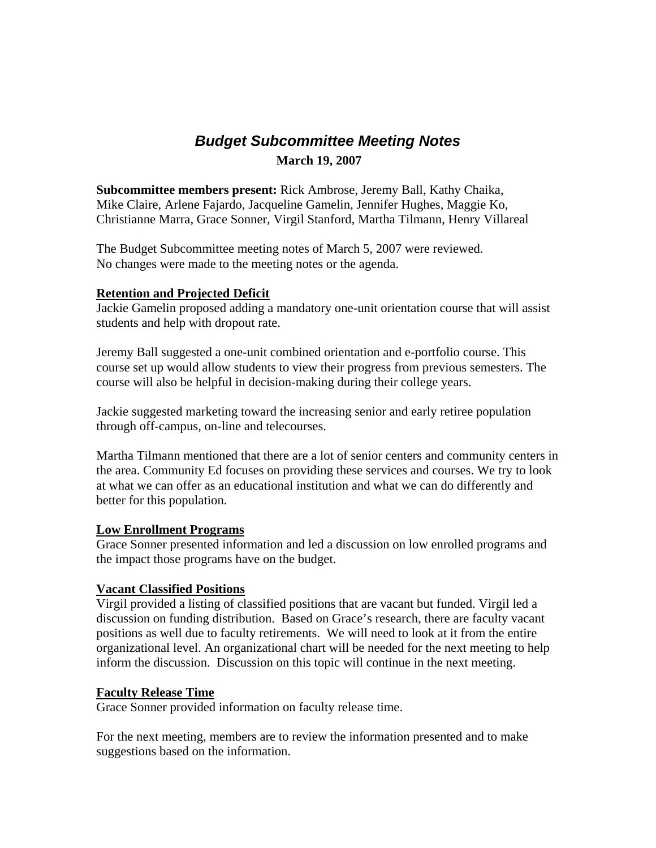# *Budget Subcommittee Meeting Notes*   **March 19, 2007**

**Subcommittee members present:** Rick Ambrose, Jeremy Ball, Kathy Chaika, Mike Claire, Arlene Fajardo, Jacqueline Gamelin, Jennifer Hughes, Maggie Ko, Christianne Marra, Grace Sonner, Virgil Stanford, Martha Tilmann, Henry Villareal

The Budget Subcommittee meeting notes of March 5, 2007 were reviewed. No changes were made to the meeting notes or the agenda.

# **Retention and Projected Deficit**

Jackie Gamelin proposed adding a mandatory one-unit orientation course that will assist students and help with dropout rate.

Jeremy Ball suggested a one-unit combined orientation and e-portfolio course. This course set up would allow students to view their progress from previous semesters. The course will also be helpful in decision-making during their college years.

Jackie suggested marketing toward the increasing senior and early retiree population through off-campus, on-line and telecourses.

Martha Tilmann mentioned that there are a lot of senior centers and community centers in the area. Community Ed focuses on providing these services and courses. We try to look at what we can offer as an educational institution and what we can do differently and better for this population.

### **Low Enrollment Programs**

Grace Sonner presented information and led a discussion on low enrolled programs and the impact those programs have on the budget.

### **Vacant Classified Positions**

Virgil provided a listing of classified positions that are vacant but funded. Virgil led a discussion on funding distribution. Based on Grace's research, there are faculty vacant positions as well due to faculty retirements. We will need to look at it from the entire organizational level. An organizational chart will be needed for the next meeting to help inform the discussion. Discussion on this topic will continue in the next meeting.

### **Faculty Release Time**

Grace Sonner provided information on faculty release time.

For the next meeting, members are to review the information presented and to make suggestions based on the information.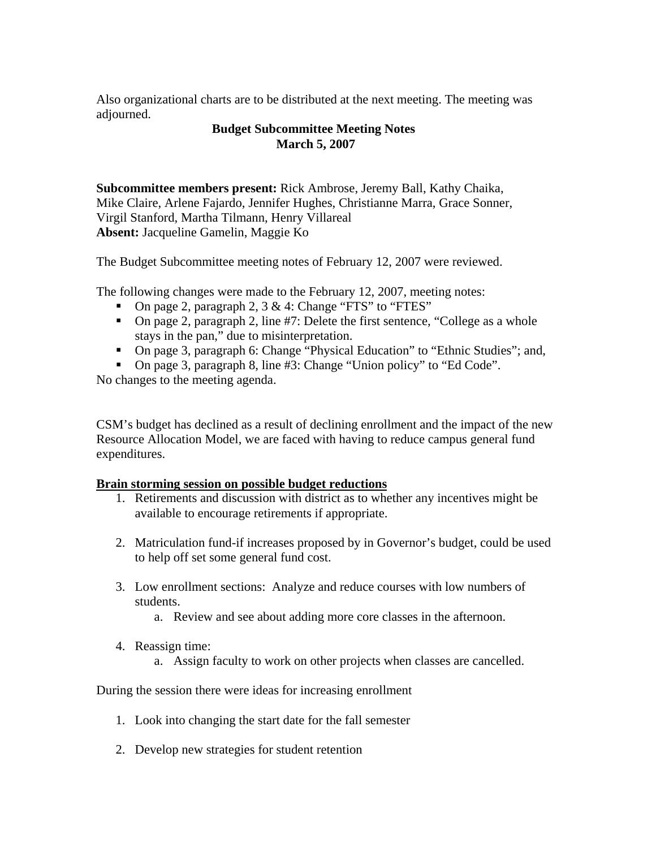Also organizational charts are to be distributed at the next meeting. The meeting was adjourned.

## **Budget Subcommittee Meeting Notes March 5, 2007**

**Subcommittee members present:** Rick Ambrose, Jeremy Ball, Kathy Chaika, Mike Claire, Arlene Fajardo, Jennifer Hughes, Christianne Marra, Grace Sonner, Virgil Stanford, Martha Tilmann, Henry Villareal **Absent:** Jacqueline Gamelin, Maggie Ko

The Budget Subcommittee meeting notes of February 12, 2007 were reviewed.

The following changes were made to the February 12, 2007, meeting notes:

- On page 2, paragraph 2,  $3 \& 4$ : Change "FTS" to "FTES"
- On page 2, paragraph 2, line #7: Delete the first sentence, "College as a whole stays in the pan," due to misinterpretation.
- On page 3, paragraph 6: Change "Physical Education" to "Ethnic Studies"; and,
- On page 3, paragraph 8, line #3: Change "Union policy" to "Ed Code".

No changes to the meeting agenda.

CSM's budget has declined as a result of declining enrollment and the impact of the new Resource Allocation Model, we are faced with having to reduce campus general fund expenditures.

### **Brain storming session on possible budget reductions**

- 1. Retirements and discussion with district as to whether any incentives might be available to encourage retirements if appropriate.
- 2. Matriculation fund-if increases proposed by in Governor's budget, could be used to help off set some general fund cost.
- 3. Low enrollment sections: Analyze and reduce courses with low numbers of students.
	- a. Review and see about adding more core classes in the afternoon.
- 4. Reassign time:
	- a. Assign faculty to work on other projects when classes are cancelled.

During the session there were ideas for increasing enrollment

- 1. Look into changing the start date for the fall semester
- 2. Develop new strategies for student retention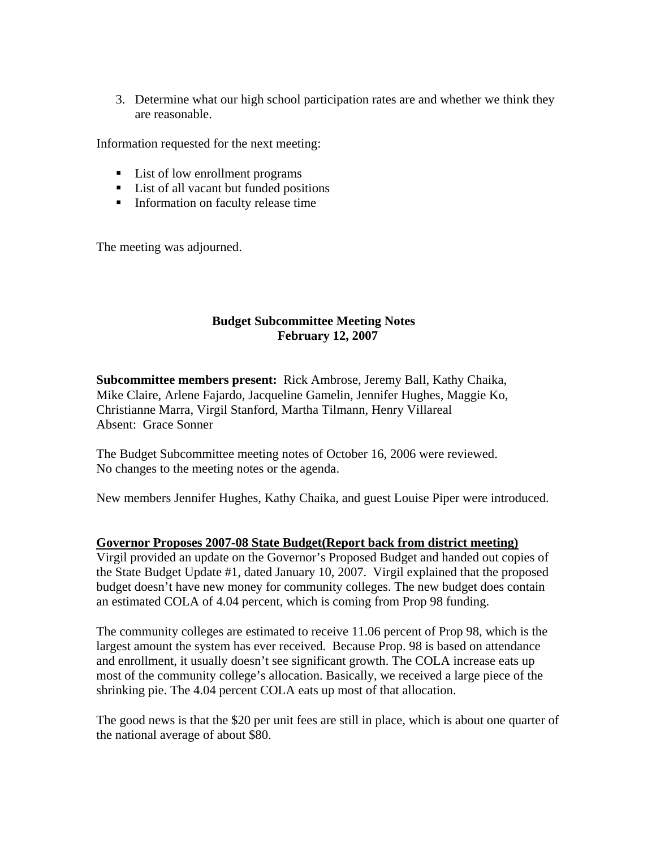3. Determine what our high school participation rates are and whether we think they are reasonable.

Information requested for the next meeting:

- List of low enrollment programs
- List of all vacant but funded positions
- Information on faculty release time

The meeting was adjourned.

# **Budget Subcommittee Meeting Notes February 12, 2007**

**Subcommittee members present:** Rick Ambrose, Jeremy Ball, Kathy Chaika, Mike Claire, Arlene Fajardo, Jacqueline Gamelin, Jennifer Hughes, Maggie Ko, Christianne Marra, Virgil Stanford, Martha Tilmann, Henry Villareal Absent: Grace Sonner

The Budget Subcommittee meeting notes of October 16, 2006 were reviewed. No changes to the meeting notes or the agenda.

New members Jennifer Hughes, Kathy Chaika, and guest Louise Piper were introduced.

### **Governor Proposes 2007-08 State Budget(Report back from district meeting)**

Virgil provided an update on the Governor's Proposed Budget and handed out copies of the State Budget Update #1, dated January 10, 2007. Virgil explained that the proposed budget doesn't have new money for community colleges. The new budget does contain an estimated COLA of 4.04 percent, which is coming from Prop 98 funding.

The community colleges are estimated to receive 11.06 percent of Prop 98, which is the largest amount the system has ever received. Because Prop. 98 is based on attendance and enrollment, it usually doesn't see significant growth. The COLA increase eats up most of the community college's allocation. Basically, we received a large piece of the shrinking pie. The 4.04 percent COLA eats up most of that allocation.

The good news is that the \$20 per unit fees are still in place, which is about one quarter of the national average of about \$80.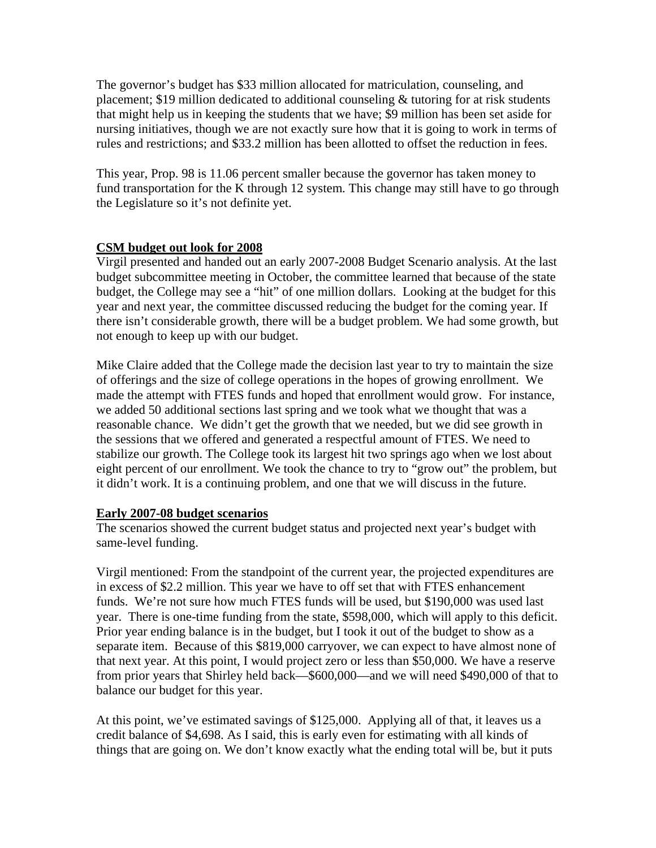The governor's budget has \$33 million allocated for matriculation, counseling, and placement; \$19 million dedicated to additional counseling & tutoring for at risk students that might help us in keeping the students that we have; \$9 million has been set aside for nursing initiatives, though we are not exactly sure how that it is going to work in terms of rules and restrictions; and \$33.2 million has been allotted to offset the reduction in fees.

This year, Prop. 98 is 11.06 percent smaller because the governor has taken money to fund transportation for the K through 12 system. This change may still have to go through the Legislature so it's not definite yet.

# **CSM budget out look for 2008**

Virgil presented and handed out an early 2007-2008 Budget Scenario analysis. At the last budget subcommittee meeting in October, the committee learned that because of the state budget, the College may see a "hit" of one million dollars. Looking at the budget for this year and next year, the committee discussed reducing the budget for the coming year. If there isn't considerable growth, there will be a budget problem. We had some growth, but not enough to keep up with our budget.

Mike Claire added that the College made the decision last year to try to maintain the size of offerings and the size of college operations in the hopes of growing enrollment. We made the attempt with FTES funds and hoped that enrollment would grow. For instance, we added 50 additional sections last spring and we took what we thought that was a reasonable chance. We didn't get the growth that we needed, but we did see growth in the sessions that we offered and generated a respectful amount of FTES. We need to stabilize our growth. The College took its largest hit two springs ago when we lost about eight percent of our enrollment. We took the chance to try to "grow out" the problem, but it didn't work. It is a continuing problem, and one that we will discuss in the future.

# **Early 2007-08 budget scenarios**

The scenarios showed the current budget status and projected next year's budget with same-level funding.

Virgil mentioned: From the standpoint of the current year, the projected expenditures are in excess of \$2.2 million. This year we have to off set that with FTES enhancement funds. We're not sure how much FTES funds will be used, but \$190,000 was used last year. There is one-time funding from the state, \$598,000, which will apply to this deficit. Prior year ending balance is in the budget, but I took it out of the budget to show as a separate item. Because of this \$819,000 carryover, we can expect to have almost none of that next year. At this point, I would project zero or less than \$50,000. We have a reserve from prior years that Shirley held back—\$600,000—and we will need \$490,000 of that to balance our budget for this year.

At this point, we've estimated savings of \$125,000. Applying all of that, it leaves us a credit balance of \$4,698. As I said, this is early even for estimating with all kinds of things that are going on. We don't know exactly what the ending total will be, but it puts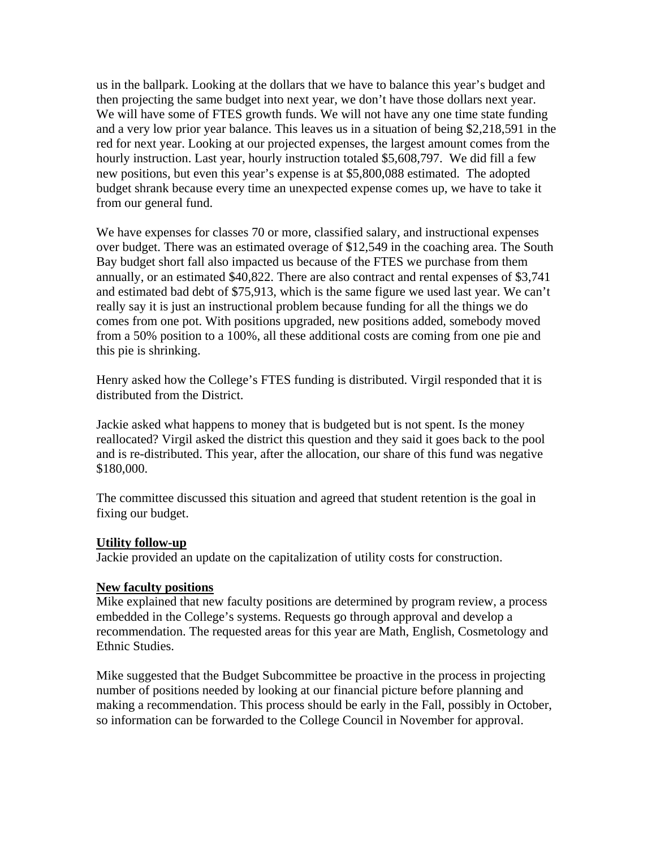us in the ballpark. Looking at the dollars that we have to balance this year's budget and then projecting the same budget into next year, we don't have those dollars next year. We will have some of FTES growth funds. We will not have any one time state funding and a very low prior year balance. This leaves us in a situation of being \$2,218,591 in the red for next year. Looking at our projected expenses, the largest amount comes from the hourly instruction. Last year, hourly instruction totaled \$5,608,797. We did fill a few new positions, but even this year's expense is at \$5,800,088 estimated. The adopted budget shrank because every time an unexpected expense comes up, we have to take it from our general fund.

We have expenses for classes 70 or more, classified salary, and instructional expenses over budget. There was an estimated overage of \$12,549 in the coaching area. The South Bay budget short fall also impacted us because of the FTES we purchase from them annually, or an estimated \$40,822. There are also contract and rental expenses of \$3,741 and estimated bad debt of \$75,913, which is the same figure we used last year. We can't really say it is just an instructional problem because funding for all the things we do comes from one pot. With positions upgraded, new positions added, somebody moved from a 50% position to a 100%, all these additional costs are coming from one pie and this pie is shrinking.

Henry asked how the College's FTES funding is distributed. Virgil responded that it is distributed from the District.

Jackie asked what happens to money that is budgeted but is not spent. Is the money reallocated? Virgil asked the district this question and they said it goes back to the pool and is re-distributed. This year, after the allocation, our share of this fund was negative \$180,000.

The committee discussed this situation and agreed that student retention is the goal in fixing our budget.

### **Utility follow-up**

Jackie provided an update on the capitalization of utility costs for construction.

### **New faculty positions**

Mike explained that new faculty positions are determined by program review, a process embedded in the College's systems. Requests go through approval and develop a recommendation. The requested areas for this year are Math, English, Cosmetology and Ethnic Studies.

Mike suggested that the Budget Subcommittee be proactive in the process in projecting number of positions needed by looking at our financial picture before planning and making a recommendation. This process should be early in the Fall, possibly in October, so information can be forwarded to the College Council in November for approval.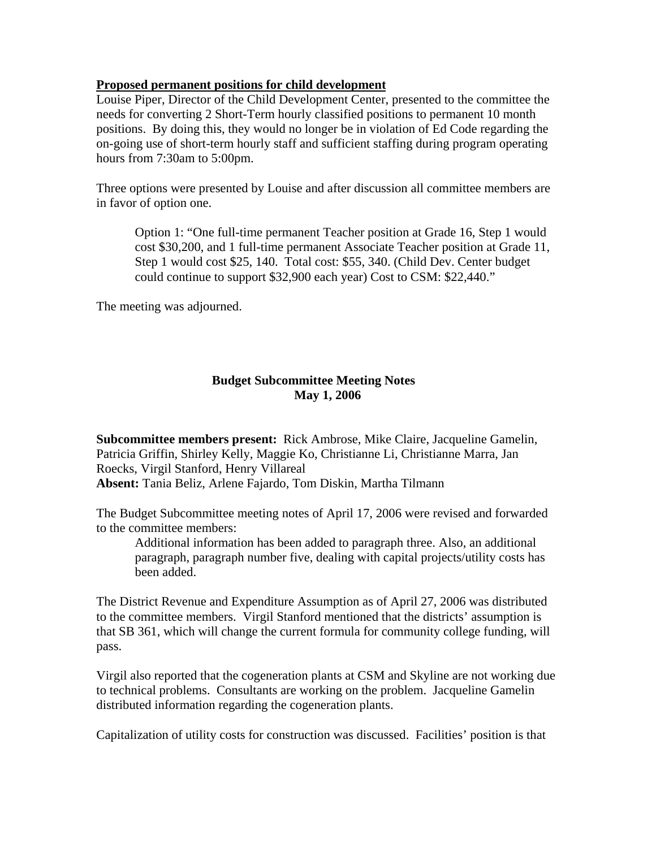## **Proposed permanent positions for child development**

Louise Piper, Director of the Child Development Center, presented to the committee the needs for converting 2 Short-Term hourly classified positions to permanent 10 month positions. By doing this, they would no longer be in violation of Ed Code regarding the on-going use of short-term hourly staff and sufficient staffing during program operating hours from 7:30am to 5:00pm.

Three options were presented by Louise and after discussion all committee members are in favor of option one.

Option 1: "One full-time permanent Teacher position at Grade 16, Step 1 would cost \$30,200, and 1 full-time permanent Associate Teacher position at Grade 11, Step 1 would cost \$25, 140. Total cost: \$55, 340. (Child Dev. Center budget could continue to support \$32,900 each year) Cost to CSM: \$22,440."

The meeting was adjourned.

# **Budget Subcommittee Meeting Notes May 1, 2006**

**Subcommittee members present:** Rick Ambrose, Mike Claire, Jacqueline Gamelin, Patricia Griffin, Shirley Kelly, Maggie Ko, Christianne Li, Christianne Marra, Jan Roecks, Virgil Stanford, Henry Villareal **Absent:** Tania Beliz, Arlene Fajardo, Tom Diskin, Martha Tilmann

The Budget Subcommittee meeting notes of April 17, 2006 were revised and forwarded to the committee members:

 Additional information has been added to paragraph three. Also, an additional paragraph, paragraph number five, dealing with capital projects/utility costs has been added.

The District Revenue and Expenditure Assumption as of April 27, 2006 was distributed to the committee members. Virgil Stanford mentioned that the districts' assumption is that SB 361, which will change the current formula for community college funding, will pass.

Virgil also reported that the cogeneration plants at CSM and Skyline are not working due to technical problems. Consultants are working on the problem. Jacqueline Gamelin distributed information regarding the cogeneration plants.

Capitalization of utility costs for construction was discussed. Facilities' position is that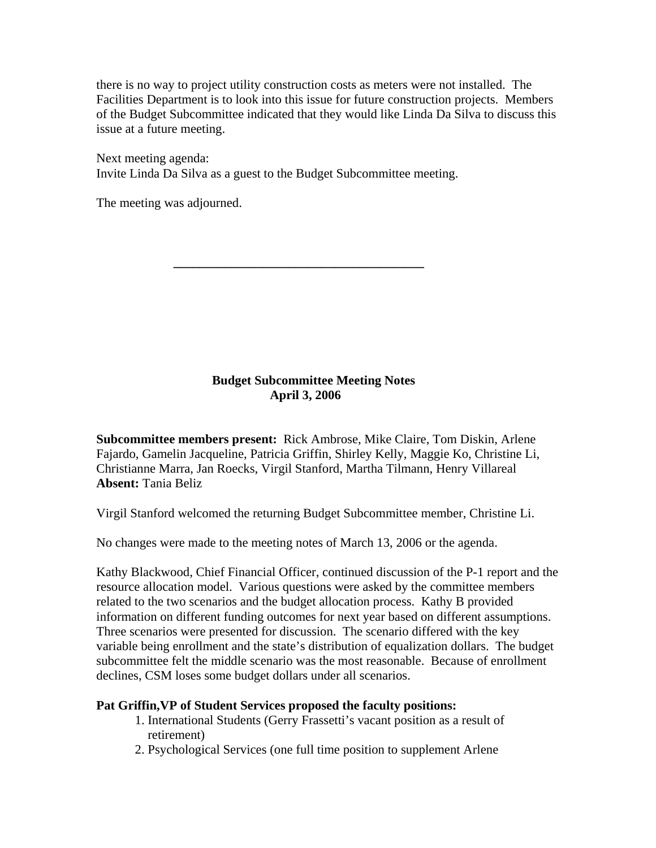there is no way to project utility construction costs as meters were not installed. The Facilities Department is to look into this issue for future construction projects. Members of the Budget Subcommittee indicated that they would like Linda Da Silva to discuss this issue at a future meeting.

Next meeting agenda: Invite Linda Da Silva as a guest to the Budget Subcommittee meeting.

The meeting was adjourned.

# **Budget Subcommittee Meeting Notes April 3, 2006**

**\_\_\_\_\_\_\_\_\_\_\_\_\_\_\_\_\_\_\_\_\_\_\_\_\_\_\_\_\_\_\_\_\_\_\_\_\_\_\_** 

**Subcommittee members present:** Rick Ambrose, Mike Claire, Tom Diskin, Arlene Fajardo, Gamelin Jacqueline, Patricia Griffin, Shirley Kelly, Maggie Ko, Christine Li, Christianne Marra, Jan Roecks, Virgil Stanford, Martha Tilmann, Henry Villareal **Absent:** Tania Beliz

Virgil Stanford welcomed the returning Budget Subcommittee member, Christine Li.

No changes were made to the meeting notes of March 13, 2006 or the agenda.

Kathy Blackwood, Chief Financial Officer, continued discussion of the P-1 report and the resource allocation model. Various questions were asked by the committee members related to the two scenarios and the budget allocation process. Kathy B provided information on different funding outcomes for next year based on different assumptions. Three scenarios were presented for discussion. The scenario differed with the key variable being enrollment and the state's distribution of equalization dollars. The budget subcommittee felt the middle scenario was the most reasonable. Because of enrollment declines, CSM loses some budget dollars under all scenarios.

# **Pat Griffin,VP of Student Services proposed the faculty positions:**

- 1. International Students (Gerry Frassetti's vacant position as a result of retirement)
- 2. Psychological Services (one full time position to supplement Arlene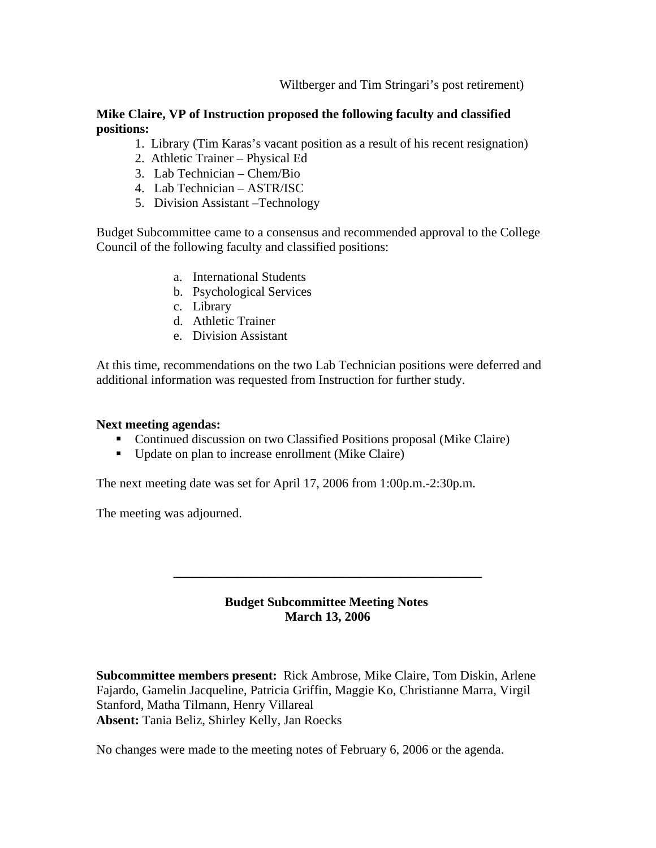Wiltberger and Tim Stringari's post retirement)

## **Mike Claire, VP of Instruction proposed the following faculty and classified positions:**

- 1. Library (Tim Karas's vacant position as a result of his recent resignation)
- 2. Athletic Trainer Physical Ed
- 3. Lab Technician Chem/Bio
- 4. Lab Technician ASTR/ISC
- 5. Division Assistant –Technology

Budget Subcommittee came to a consensus and recommended approval to the College Council of the following faculty and classified positions:

- a. International Students
- b. Psychological Services
- c. Library
- d. Athletic Trainer
- e. Division Assistant

At this time, recommendations on the two Lab Technician positions were deferred and additional information was requested from Instruction for further study.

#### **Next meeting agendas:**

- Continued discussion on two Classified Positions proposal (Mike Claire)
- Update on plan to increase enrollment (Mike Claire)

The next meeting date was set for April 17, 2006 from 1:00p.m.-2:30p.m.

The meeting was adjourned.

# **Budget Subcommittee Meeting Notes March 13, 2006**

**\_\_\_\_\_\_\_\_\_\_\_\_\_\_\_\_\_\_\_\_\_\_\_\_\_\_\_\_\_\_\_\_\_\_\_\_\_\_\_\_\_\_\_\_\_\_\_\_** 

**Subcommittee members present:** Rick Ambrose, Mike Claire, Tom Diskin, Arlene Fajardo, Gamelin Jacqueline, Patricia Griffin, Maggie Ko, Christianne Marra, Virgil Stanford, Matha Tilmann, Henry Villareal **Absent:** Tania Beliz, Shirley Kelly, Jan Roecks

No changes were made to the meeting notes of February 6, 2006 or the agenda.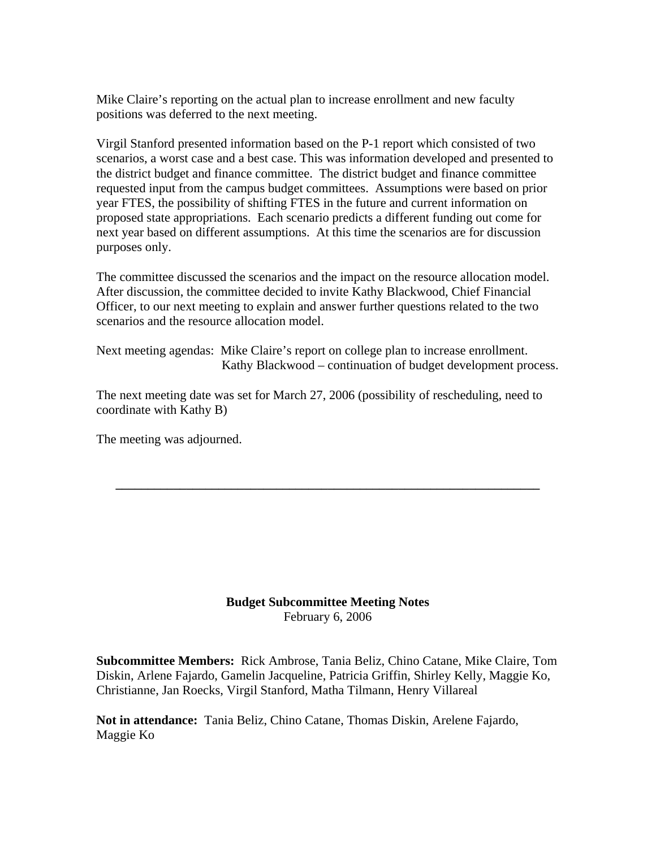Mike Claire's reporting on the actual plan to increase enrollment and new faculty positions was deferred to the next meeting.

Virgil Stanford presented information based on the P-1 report which consisted of two scenarios, a worst case and a best case. This was information developed and presented to the district budget and finance committee. The district budget and finance committee requested input from the campus budget committees. Assumptions were based on prior year FTES, the possibility of shifting FTES in the future and current information on proposed state appropriations. Each scenario predicts a different funding out come for next year based on different assumptions. At this time the scenarios are for discussion purposes only.

The committee discussed the scenarios and the impact on the resource allocation model. After discussion, the committee decided to invite Kathy Blackwood, Chief Financial Officer, to our next meeting to explain and answer further questions related to the two scenarios and the resource allocation model.

Next meeting agendas: Mike Claire's report on college plan to increase enrollment. Kathy Blackwood – continuation of budget development process.

The next meeting date was set for March 27, 2006 (possibility of rescheduling, need to coordinate with Kathy B)

**\_\_\_\_\_\_\_\_\_\_\_\_\_\_\_\_\_\_\_\_\_\_\_\_\_\_\_\_\_\_\_\_\_\_\_\_\_\_\_\_\_\_\_\_\_\_\_\_\_\_\_\_\_\_\_\_\_\_\_\_\_\_\_\_\_\_** 

The meeting was adjourned.

**Budget Subcommittee Meeting Notes**  February 6, 2006

**Subcommittee Members:** Rick Ambrose, Tania Beliz, Chino Catane, Mike Claire, Tom Diskin, Arlene Fajardo, Gamelin Jacqueline, Patricia Griffin, Shirley Kelly, Maggie Ko, Christianne, Jan Roecks, Virgil Stanford, Matha Tilmann, Henry Villareal

**Not in attendance:** Tania Beliz, Chino Catane, Thomas Diskin, Arelene Fajardo, Maggie Ko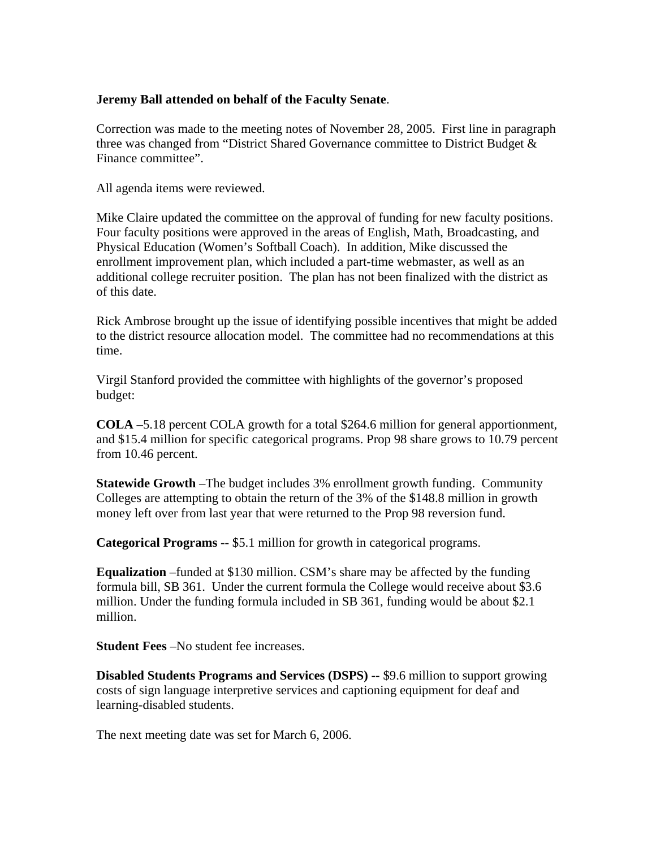# **Jeremy Ball attended on behalf of the Faculty Senate**.

Correction was made to the meeting notes of November 28, 2005. First line in paragraph three was changed from "District Shared Governance committee to District Budget & Finance committee".

All agenda items were reviewed.

Mike Claire updated the committee on the approval of funding for new faculty positions. Four faculty positions were approved in the areas of English, Math, Broadcasting, and Physical Education (Women's Softball Coach). In addition, Mike discussed the enrollment improvement plan, which included a part-time webmaster, as well as an additional college recruiter position. The plan has not been finalized with the district as of this date.

Rick Ambrose brought up the issue of identifying possible incentives that might be added to the district resource allocation model. The committee had no recommendations at this time.

Virgil Stanford provided the committee with highlights of the governor's proposed budget:

**COLA** –5.18 percent COLA growth for a total \$264.6 million for general apportionment, and \$15.4 million for specific categorical programs. Prop 98 share grows to 10.79 percent from 10.46 percent.

**Statewide Growth** –The budget includes 3% enrollment growth funding. Community Colleges are attempting to obtain the return of the 3% of the \$148.8 million in growth money left over from last year that were returned to the Prop 98 reversion fund.

**Categorical Programs** -- \$5.1 million for growth in categorical programs.

**Equalization** –funded at \$130 million. CSM's share may be affected by the funding formula bill, SB 361. Under the current formula the College would receive about \$3.6 million. Under the funding formula included in SB 361, funding would be about \$2.1 million.

**Student Fees** –No student fee increases.

**Disabled Students Programs and Services (DSPS) --** \$9.6 million to support growing costs of sign language interpretive services and captioning equipment for deaf and learning-disabled students.

The next meeting date was set for March 6, 2006.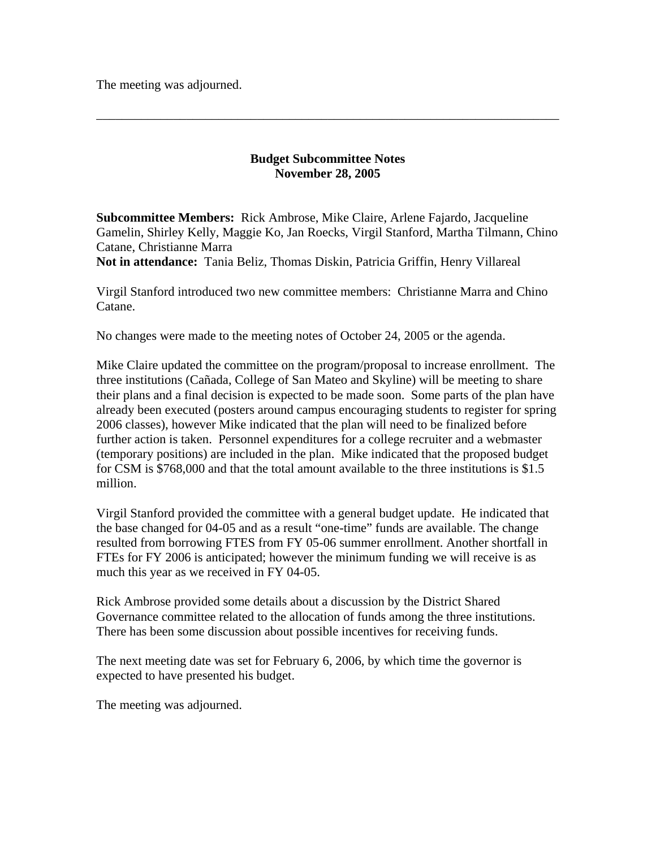The meeting was adjourned.

## **Budget Subcommittee Notes November 28, 2005**

\_\_\_\_\_\_\_\_\_\_\_\_\_\_\_\_\_\_\_\_\_\_\_\_\_\_\_\_\_\_\_\_\_\_\_\_\_\_\_\_\_\_\_\_\_\_\_\_\_\_\_\_\_\_\_\_\_\_\_\_\_\_\_\_\_\_\_\_\_\_\_\_

**Subcommittee Members:** Rick Ambrose, Mike Claire, Arlene Fajardo, Jacqueline Gamelin, Shirley Kelly, Maggie Ko, Jan Roecks, Virgil Stanford, Martha Tilmann, Chino Catane, Christianne Marra

**Not in attendance:** Tania Beliz, Thomas Diskin, Patricia Griffin, Henry Villareal

Virgil Stanford introduced two new committee members: Christianne Marra and Chino Catane.

No changes were made to the meeting notes of October 24, 2005 or the agenda.

Mike Claire updated the committee on the program/proposal to increase enrollment. The three institutions (Cañada, College of San Mateo and Skyline) will be meeting to share their plans and a final decision is expected to be made soon. Some parts of the plan have already been executed (posters around campus encouraging students to register for spring 2006 classes), however Mike indicated that the plan will need to be finalized before further action is taken. Personnel expenditures for a college recruiter and a webmaster (temporary positions) are included in the plan. Mike indicated that the proposed budget for CSM is \$768,000 and that the total amount available to the three institutions is \$1.5 million.

Virgil Stanford provided the committee with a general budget update. He indicated that the base changed for 04-05 and as a result "one-time" funds are available. The change resulted from borrowing FTES from FY 05-06 summer enrollment. Another shortfall in FTEs for FY 2006 is anticipated; however the minimum funding we will receive is as much this year as we received in FY 04-05.

Rick Ambrose provided some details about a discussion by the District Shared Governance committee related to the allocation of funds among the three institutions. There has been some discussion about possible incentives for receiving funds.

The next meeting date was set for February 6, 2006, by which time the governor is expected to have presented his budget.

The meeting was adjourned.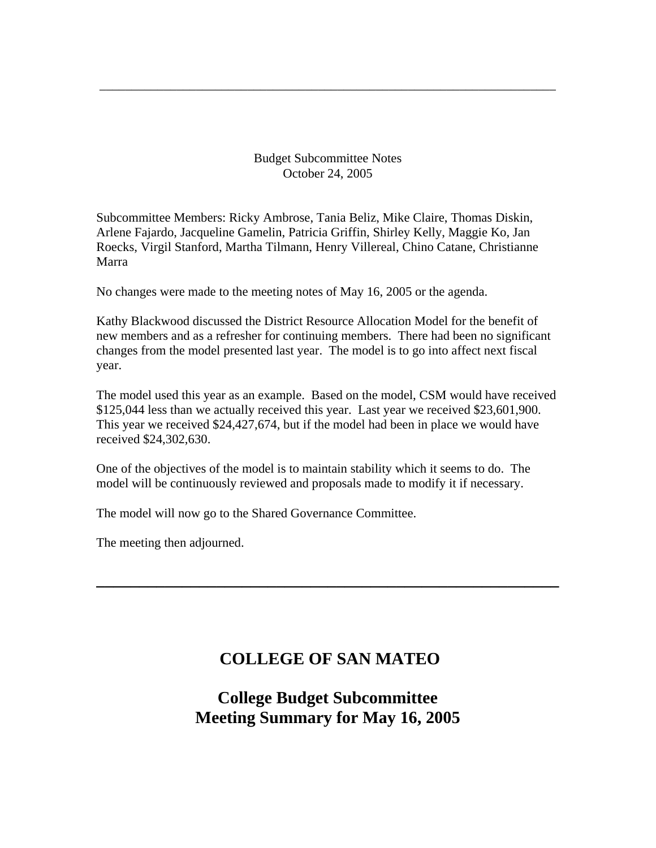Budget Subcommittee Notes October 24, 2005

\_\_\_\_\_\_\_\_\_\_\_\_\_\_\_\_\_\_\_\_\_\_\_\_\_\_\_\_\_\_\_\_\_\_\_\_\_\_\_\_\_\_\_\_\_\_\_\_\_\_\_\_\_\_\_\_\_\_\_\_\_\_\_\_\_\_\_\_\_\_\_

Subcommittee Members: Ricky Ambrose, Tania Beliz, Mike Claire, Thomas Diskin, Arlene Fajardo, Jacqueline Gamelin, Patricia Griffin, Shirley Kelly, Maggie Ko, Jan Roecks, Virgil Stanford, Martha Tilmann, Henry Villereal, Chino Catane, Christianne Marra

No changes were made to the meeting notes of May 16, 2005 or the agenda.

Kathy Blackwood discussed the District Resource Allocation Model for the benefit of new members and as a refresher for continuing members. There had been no significant changes from the model presented last year. The model is to go into affect next fiscal year.

The model used this year as an example. Based on the model, CSM would have received \$125,044 less than we actually received this year. Last year we received \$23,601,900. This year we received \$24,427,674, but if the model had been in place we would have received \$24,302,630.

One of the objectives of the model is to maintain stability which it seems to do. The model will be continuously reviewed and proposals made to modify it if necessary.

The model will now go to the Shared Governance Committee.

The meeting then adjourned.

# **COLLEGE OF SAN MATEO**

**\_\_\_\_\_\_\_\_\_\_\_\_\_\_\_\_\_\_\_\_\_\_\_\_\_\_\_\_\_\_\_\_\_\_\_\_\_\_\_\_\_\_\_\_\_\_\_\_\_\_\_\_\_\_** 

# **College Budget Subcommittee Meeting Summary for May 16, 2005**